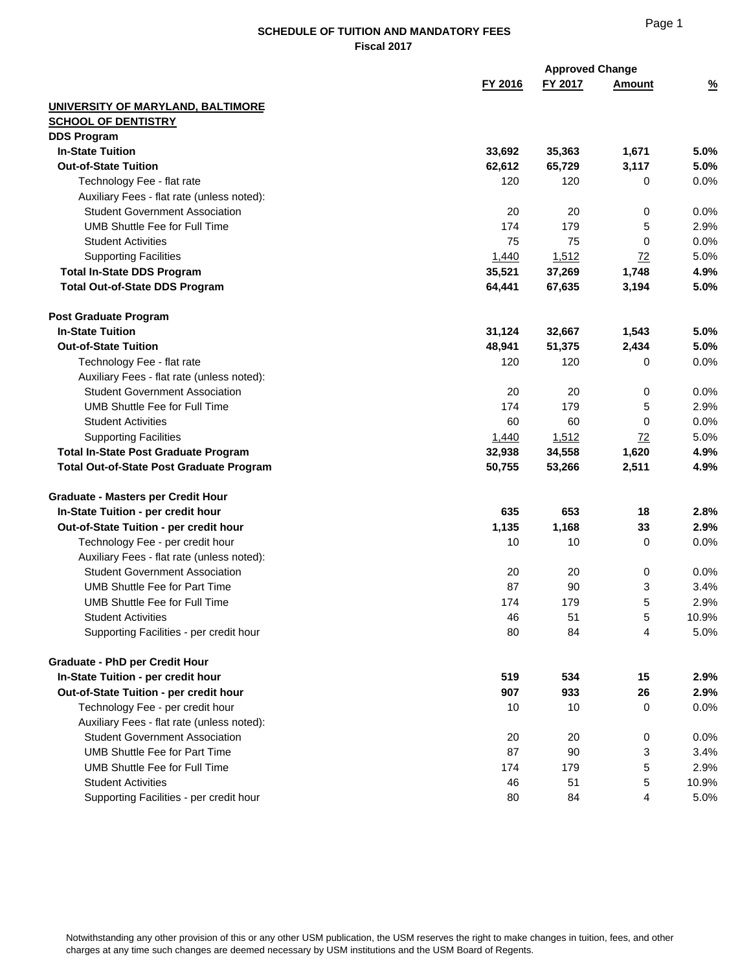| FY 2016<br>$\frac{9}{6}$<br>FY 2017<br>Amount<br>UNIVERSITY OF MARYLAND, BALTIMORE<br><b>SCHOOL OF DENTISTRY</b><br><b>DDS Program</b><br><b>In-State Tuition</b><br>33,692<br>35,363<br>1,671<br>5.0%<br><b>Out-of-State Tuition</b><br>3,117<br>5.0%<br>62,612<br>65,729<br>120<br>0.0%<br>Technology Fee - flat rate<br>120<br>0<br>Auxiliary Fees - flat rate (unless noted):<br><b>Student Government Association</b><br>20<br>20<br>0.0%<br>0<br><b>UMB Shuttle Fee for Full Time</b><br>174<br>179<br>2.9%<br>5<br>75<br>75<br>0.0%<br><b>Student Activities</b><br>0<br>1,512<br>5.0%<br><b>Supporting Facilities</b><br>1,440<br>72<br><b>Total In-State DDS Program</b><br>35,521<br>37,269<br>4.9%<br>1,748<br><b>Total Out-of-State DDS Program</b><br>64,441<br>67,635<br>5.0%<br>3,194<br><b>Post Graduate Program</b><br><b>In-State Tuition</b><br>31,124<br>32,667<br>1,543<br>5.0%<br><b>Out-of-State Tuition</b><br>48,941<br>51,375<br>5.0%<br>2,434<br>120<br>120<br>Technology Fee - flat rate<br>0<br>0.0%<br>Auxiliary Fees - flat rate (unless noted):<br><b>Student Government Association</b><br>20<br>20<br>0<br>0.0%<br><b>UMB Shuttle Fee for Full Time</b><br>174<br>179<br>5<br>2.9%<br>0<br>0.0%<br><b>Student Activities</b><br>60<br>60<br><b>Supporting Facilities</b><br>1,512<br>72<br>5.0%<br>1,440<br>34,558<br>1,620<br>4.9%<br><b>Total In-State Post Graduate Program</b><br>32,938<br>2,511<br>4.9%<br><b>Total Out-of-State Post Graduate Program</b><br>50,755<br>53,266<br><b>Graduate - Masters per Credit Hour</b><br>653<br>In-State Tuition - per credit hour<br>635<br>18<br>2.8%<br>1,168<br>Out-of-State Tuition - per credit hour<br>1,135<br>33<br>2.9%<br>0.0%<br>Technology Fee - per credit hour<br>10<br>10<br>0<br>Auxiliary Fees - flat rate (unless noted):<br><b>Student Government Association</b><br>20<br>20<br>0.0%<br>0<br><b>UMB Shuttle Fee for Part Time</b><br>87<br>90<br>3<br>3.4%<br>179<br>5<br>UMB Shuttle Fee for Full Time<br>174<br>2.9%<br>10.9%<br><b>Student Activities</b><br>46<br>51<br>5<br>Supporting Facilities - per credit hour<br>80<br>84<br>4<br>5.0%<br><b>Graduate - PhD per Credit Hour</b><br>In-State Tuition - per credit hour<br>519<br>534<br>15<br>2.9%<br>933<br>Out-of-State Tuition - per credit hour<br>907<br>26<br>2.9%<br>Technology Fee - per credit hour<br>10<br>10<br>0<br>0.0%<br>Auxiliary Fees - flat rate (unless noted):<br><b>Student Government Association</b><br>20<br>20<br>0<br>0.0%<br><b>UMB Shuttle Fee for Part Time</b><br>87<br>3<br>90<br>3.4%<br><b>UMB Shuttle Fee for Full Time</b><br>174<br>179<br>5<br>2.9%<br><b>Student Activities</b><br>46<br>51<br>5<br>10.9%<br>Supporting Facilities - per credit hour<br>84<br>4<br>5.0%<br>80 |  | <b>Approved Change</b> |  |
|-----------------------------------------------------------------------------------------------------------------------------------------------------------------------------------------------------------------------------------------------------------------------------------------------------------------------------------------------------------------------------------------------------------------------------------------------------------------------------------------------------------------------------------------------------------------------------------------------------------------------------------------------------------------------------------------------------------------------------------------------------------------------------------------------------------------------------------------------------------------------------------------------------------------------------------------------------------------------------------------------------------------------------------------------------------------------------------------------------------------------------------------------------------------------------------------------------------------------------------------------------------------------------------------------------------------------------------------------------------------------------------------------------------------------------------------------------------------------------------------------------------------------------------------------------------------------------------------------------------------------------------------------------------------------------------------------------------------------------------------------------------------------------------------------------------------------------------------------------------------------------------------------------------------------------------------------------------------------------------------------------------------------------------------------------------------------------------------------------------------------------------------------------------------------------------------------------------------------------------------------------------------------------------------------------------------------------------------------------------------------------------------------------------------------------------------------------------------------------------------------------------------------------------------------------------------------------------------------------------------------------------------------------------------------------------------------------------------------------------------------------------------------------------|--|------------------------|--|
|                                                                                                                                                                                                                                                                                                                                                                                                                                                                                                                                                                                                                                                                                                                                                                                                                                                                                                                                                                                                                                                                                                                                                                                                                                                                                                                                                                                                                                                                                                                                                                                                                                                                                                                                                                                                                                                                                                                                                                                                                                                                                                                                                                                                                                                                                                                                                                                                                                                                                                                                                                                                                                                                                                                                                                                   |  |                        |  |
|                                                                                                                                                                                                                                                                                                                                                                                                                                                                                                                                                                                                                                                                                                                                                                                                                                                                                                                                                                                                                                                                                                                                                                                                                                                                                                                                                                                                                                                                                                                                                                                                                                                                                                                                                                                                                                                                                                                                                                                                                                                                                                                                                                                                                                                                                                                                                                                                                                                                                                                                                                                                                                                                                                                                                                                   |  |                        |  |
|                                                                                                                                                                                                                                                                                                                                                                                                                                                                                                                                                                                                                                                                                                                                                                                                                                                                                                                                                                                                                                                                                                                                                                                                                                                                                                                                                                                                                                                                                                                                                                                                                                                                                                                                                                                                                                                                                                                                                                                                                                                                                                                                                                                                                                                                                                                                                                                                                                                                                                                                                                                                                                                                                                                                                                                   |  |                        |  |
|                                                                                                                                                                                                                                                                                                                                                                                                                                                                                                                                                                                                                                                                                                                                                                                                                                                                                                                                                                                                                                                                                                                                                                                                                                                                                                                                                                                                                                                                                                                                                                                                                                                                                                                                                                                                                                                                                                                                                                                                                                                                                                                                                                                                                                                                                                                                                                                                                                                                                                                                                                                                                                                                                                                                                                                   |  |                        |  |
|                                                                                                                                                                                                                                                                                                                                                                                                                                                                                                                                                                                                                                                                                                                                                                                                                                                                                                                                                                                                                                                                                                                                                                                                                                                                                                                                                                                                                                                                                                                                                                                                                                                                                                                                                                                                                                                                                                                                                                                                                                                                                                                                                                                                                                                                                                                                                                                                                                                                                                                                                                                                                                                                                                                                                                                   |  |                        |  |
|                                                                                                                                                                                                                                                                                                                                                                                                                                                                                                                                                                                                                                                                                                                                                                                                                                                                                                                                                                                                                                                                                                                                                                                                                                                                                                                                                                                                                                                                                                                                                                                                                                                                                                                                                                                                                                                                                                                                                                                                                                                                                                                                                                                                                                                                                                                                                                                                                                                                                                                                                                                                                                                                                                                                                                                   |  |                        |  |
|                                                                                                                                                                                                                                                                                                                                                                                                                                                                                                                                                                                                                                                                                                                                                                                                                                                                                                                                                                                                                                                                                                                                                                                                                                                                                                                                                                                                                                                                                                                                                                                                                                                                                                                                                                                                                                                                                                                                                                                                                                                                                                                                                                                                                                                                                                                                                                                                                                                                                                                                                                                                                                                                                                                                                                                   |  |                        |  |
|                                                                                                                                                                                                                                                                                                                                                                                                                                                                                                                                                                                                                                                                                                                                                                                                                                                                                                                                                                                                                                                                                                                                                                                                                                                                                                                                                                                                                                                                                                                                                                                                                                                                                                                                                                                                                                                                                                                                                                                                                                                                                                                                                                                                                                                                                                                                                                                                                                                                                                                                                                                                                                                                                                                                                                                   |  |                        |  |
|                                                                                                                                                                                                                                                                                                                                                                                                                                                                                                                                                                                                                                                                                                                                                                                                                                                                                                                                                                                                                                                                                                                                                                                                                                                                                                                                                                                                                                                                                                                                                                                                                                                                                                                                                                                                                                                                                                                                                                                                                                                                                                                                                                                                                                                                                                                                                                                                                                                                                                                                                                                                                                                                                                                                                                                   |  |                        |  |
|                                                                                                                                                                                                                                                                                                                                                                                                                                                                                                                                                                                                                                                                                                                                                                                                                                                                                                                                                                                                                                                                                                                                                                                                                                                                                                                                                                                                                                                                                                                                                                                                                                                                                                                                                                                                                                                                                                                                                                                                                                                                                                                                                                                                                                                                                                                                                                                                                                                                                                                                                                                                                                                                                                                                                                                   |  |                        |  |
|                                                                                                                                                                                                                                                                                                                                                                                                                                                                                                                                                                                                                                                                                                                                                                                                                                                                                                                                                                                                                                                                                                                                                                                                                                                                                                                                                                                                                                                                                                                                                                                                                                                                                                                                                                                                                                                                                                                                                                                                                                                                                                                                                                                                                                                                                                                                                                                                                                                                                                                                                                                                                                                                                                                                                                                   |  |                        |  |
|                                                                                                                                                                                                                                                                                                                                                                                                                                                                                                                                                                                                                                                                                                                                                                                                                                                                                                                                                                                                                                                                                                                                                                                                                                                                                                                                                                                                                                                                                                                                                                                                                                                                                                                                                                                                                                                                                                                                                                                                                                                                                                                                                                                                                                                                                                                                                                                                                                                                                                                                                                                                                                                                                                                                                                                   |  |                        |  |
|                                                                                                                                                                                                                                                                                                                                                                                                                                                                                                                                                                                                                                                                                                                                                                                                                                                                                                                                                                                                                                                                                                                                                                                                                                                                                                                                                                                                                                                                                                                                                                                                                                                                                                                                                                                                                                                                                                                                                                                                                                                                                                                                                                                                                                                                                                                                                                                                                                                                                                                                                                                                                                                                                                                                                                                   |  |                        |  |
|                                                                                                                                                                                                                                                                                                                                                                                                                                                                                                                                                                                                                                                                                                                                                                                                                                                                                                                                                                                                                                                                                                                                                                                                                                                                                                                                                                                                                                                                                                                                                                                                                                                                                                                                                                                                                                                                                                                                                                                                                                                                                                                                                                                                                                                                                                                                                                                                                                                                                                                                                                                                                                                                                                                                                                                   |  |                        |  |
|                                                                                                                                                                                                                                                                                                                                                                                                                                                                                                                                                                                                                                                                                                                                                                                                                                                                                                                                                                                                                                                                                                                                                                                                                                                                                                                                                                                                                                                                                                                                                                                                                                                                                                                                                                                                                                                                                                                                                                                                                                                                                                                                                                                                                                                                                                                                                                                                                                                                                                                                                                                                                                                                                                                                                                                   |  |                        |  |
|                                                                                                                                                                                                                                                                                                                                                                                                                                                                                                                                                                                                                                                                                                                                                                                                                                                                                                                                                                                                                                                                                                                                                                                                                                                                                                                                                                                                                                                                                                                                                                                                                                                                                                                                                                                                                                                                                                                                                                                                                                                                                                                                                                                                                                                                                                                                                                                                                                                                                                                                                                                                                                                                                                                                                                                   |  |                        |  |
|                                                                                                                                                                                                                                                                                                                                                                                                                                                                                                                                                                                                                                                                                                                                                                                                                                                                                                                                                                                                                                                                                                                                                                                                                                                                                                                                                                                                                                                                                                                                                                                                                                                                                                                                                                                                                                                                                                                                                                                                                                                                                                                                                                                                                                                                                                                                                                                                                                                                                                                                                                                                                                                                                                                                                                                   |  |                        |  |
|                                                                                                                                                                                                                                                                                                                                                                                                                                                                                                                                                                                                                                                                                                                                                                                                                                                                                                                                                                                                                                                                                                                                                                                                                                                                                                                                                                                                                                                                                                                                                                                                                                                                                                                                                                                                                                                                                                                                                                                                                                                                                                                                                                                                                                                                                                                                                                                                                                                                                                                                                                                                                                                                                                                                                                                   |  |                        |  |
|                                                                                                                                                                                                                                                                                                                                                                                                                                                                                                                                                                                                                                                                                                                                                                                                                                                                                                                                                                                                                                                                                                                                                                                                                                                                                                                                                                                                                                                                                                                                                                                                                                                                                                                                                                                                                                                                                                                                                                                                                                                                                                                                                                                                                                                                                                                                                                                                                                                                                                                                                                                                                                                                                                                                                                                   |  |                        |  |
|                                                                                                                                                                                                                                                                                                                                                                                                                                                                                                                                                                                                                                                                                                                                                                                                                                                                                                                                                                                                                                                                                                                                                                                                                                                                                                                                                                                                                                                                                                                                                                                                                                                                                                                                                                                                                                                                                                                                                                                                                                                                                                                                                                                                                                                                                                                                                                                                                                                                                                                                                                                                                                                                                                                                                                                   |  |                        |  |
|                                                                                                                                                                                                                                                                                                                                                                                                                                                                                                                                                                                                                                                                                                                                                                                                                                                                                                                                                                                                                                                                                                                                                                                                                                                                                                                                                                                                                                                                                                                                                                                                                                                                                                                                                                                                                                                                                                                                                                                                                                                                                                                                                                                                                                                                                                                                                                                                                                                                                                                                                                                                                                                                                                                                                                                   |  |                        |  |
|                                                                                                                                                                                                                                                                                                                                                                                                                                                                                                                                                                                                                                                                                                                                                                                                                                                                                                                                                                                                                                                                                                                                                                                                                                                                                                                                                                                                                                                                                                                                                                                                                                                                                                                                                                                                                                                                                                                                                                                                                                                                                                                                                                                                                                                                                                                                                                                                                                                                                                                                                                                                                                                                                                                                                                                   |  |                        |  |
|                                                                                                                                                                                                                                                                                                                                                                                                                                                                                                                                                                                                                                                                                                                                                                                                                                                                                                                                                                                                                                                                                                                                                                                                                                                                                                                                                                                                                                                                                                                                                                                                                                                                                                                                                                                                                                                                                                                                                                                                                                                                                                                                                                                                                                                                                                                                                                                                                                                                                                                                                                                                                                                                                                                                                                                   |  |                        |  |
|                                                                                                                                                                                                                                                                                                                                                                                                                                                                                                                                                                                                                                                                                                                                                                                                                                                                                                                                                                                                                                                                                                                                                                                                                                                                                                                                                                                                                                                                                                                                                                                                                                                                                                                                                                                                                                                                                                                                                                                                                                                                                                                                                                                                                                                                                                                                                                                                                                                                                                                                                                                                                                                                                                                                                                                   |  |                        |  |
|                                                                                                                                                                                                                                                                                                                                                                                                                                                                                                                                                                                                                                                                                                                                                                                                                                                                                                                                                                                                                                                                                                                                                                                                                                                                                                                                                                                                                                                                                                                                                                                                                                                                                                                                                                                                                                                                                                                                                                                                                                                                                                                                                                                                                                                                                                                                                                                                                                                                                                                                                                                                                                                                                                                                                                                   |  |                        |  |
|                                                                                                                                                                                                                                                                                                                                                                                                                                                                                                                                                                                                                                                                                                                                                                                                                                                                                                                                                                                                                                                                                                                                                                                                                                                                                                                                                                                                                                                                                                                                                                                                                                                                                                                                                                                                                                                                                                                                                                                                                                                                                                                                                                                                                                                                                                                                                                                                                                                                                                                                                                                                                                                                                                                                                                                   |  |                        |  |
|                                                                                                                                                                                                                                                                                                                                                                                                                                                                                                                                                                                                                                                                                                                                                                                                                                                                                                                                                                                                                                                                                                                                                                                                                                                                                                                                                                                                                                                                                                                                                                                                                                                                                                                                                                                                                                                                                                                                                                                                                                                                                                                                                                                                                                                                                                                                                                                                                                                                                                                                                                                                                                                                                                                                                                                   |  |                        |  |
|                                                                                                                                                                                                                                                                                                                                                                                                                                                                                                                                                                                                                                                                                                                                                                                                                                                                                                                                                                                                                                                                                                                                                                                                                                                                                                                                                                                                                                                                                                                                                                                                                                                                                                                                                                                                                                                                                                                                                                                                                                                                                                                                                                                                                                                                                                                                                                                                                                                                                                                                                                                                                                                                                                                                                                                   |  |                        |  |
|                                                                                                                                                                                                                                                                                                                                                                                                                                                                                                                                                                                                                                                                                                                                                                                                                                                                                                                                                                                                                                                                                                                                                                                                                                                                                                                                                                                                                                                                                                                                                                                                                                                                                                                                                                                                                                                                                                                                                                                                                                                                                                                                                                                                                                                                                                                                                                                                                                                                                                                                                                                                                                                                                                                                                                                   |  |                        |  |
|                                                                                                                                                                                                                                                                                                                                                                                                                                                                                                                                                                                                                                                                                                                                                                                                                                                                                                                                                                                                                                                                                                                                                                                                                                                                                                                                                                                                                                                                                                                                                                                                                                                                                                                                                                                                                                                                                                                                                                                                                                                                                                                                                                                                                                                                                                                                                                                                                                                                                                                                                                                                                                                                                                                                                                                   |  |                        |  |
|                                                                                                                                                                                                                                                                                                                                                                                                                                                                                                                                                                                                                                                                                                                                                                                                                                                                                                                                                                                                                                                                                                                                                                                                                                                                                                                                                                                                                                                                                                                                                                                                                                                                                                                                                                                                                                                                                                                                                                                                                                                                                                                                                                                                                                                                                                                                                                                                                                                                                                                                                                                                                                                                                                                                                                                   |  |                        |  |
|                                                                                                                                                                                                                                                                                                                                                                                                                                                                                                                                                                                                                                                                                                                                                                                                                                                                                                                                                                                                                                                                                                                                                                                                                                                                                                                                                                                                                                                                                                                                                                                                                                                                                                                                                                                                                                                                                                                                                                                                                                                                                                                                                                                                                                                                                                                                                                                                                                                                                                                                                                                                                                                                                                                                                                                   |  |                        |  |
|                                                                                                                                                                                                                                                                                                                                                                                                                                                                                                                                                                                                                                                                                                                                                                                                                                                                                                                                                                                                                                                                                                                                                                                                                                                                                                                                                                                                                                                                                                                                                                                                                                                                                                                                                                                                                                                                                                                                                                                                                                                                                                                                                                                                                                                                                                                                                                                                                                                                                                                                                                                                                                                                                                                                                                                   |  |                        |  |
|                                                                                                                                                                                                                                                                                                                                                                                                                                                                                                                                                                                                                                                                                                                                                                                                                                                                                                                                                                                                                                                                                                                                                                                                                                                                                                                                                                                                                                                                                                                                                                                                                                                                                                                                                                                                                                                                                                                                                                                                                                                                                                                                                                                                                                                                                                                                                                                                                                                                                                                                                                                                                                                                                                                                                                                   |  |                        |  |
|                                                                                                                                                                                                                                                                                                                                                                                                                                                                                                                                                                                                                                                                                                                                                                                                                                                                                                                                                                                                                                                                                                                                                                                                                                                                                                                                                                                                                                                                                                                                                                                                                                                                                                                                                                                                                                                                                                                                                                                                                                                                                                                                                                                                                                                                                                                                                                                                                                                                                                                                                                                                                                                                                                                                                                                   |  |                        |  |
|                                                                                                                                                                                                                                                                                                                                                                                                                                                                                                                                                                                                                                                                                                                                                                                                                                                                                                                                                                                                                                                                                                                                                                                                                                                                                                                                                                                                                                                                                                                                                                                                                                                                                                                                                                                                                                                                                                                                                                                                                                                                                                                                                                                                                                                                                                                                                                                                                                                                                                                                                                                                                                                                                                                                                                                   |  |                        |  |
|                                                                                                                                                                                                                                                                                                                                                                                                                                                                                                                                                                                                                                                                                                                                                                                                                                                                                                                                                                                                                                                                                                                                                                                                                                                                                                                                                                                                                                                                                                                                                                                                                                                                                                                                                                                                                                                                                                                                                                                                                                                                                                                                                                                                                                                                                                                                                                                                                                                                                                                                                                                                                                                                                                                                                                                   |  |                        |  |
|                                                                                                                                                                                                                                                                                                                                                                                                                                                                                                                                                                                                                                                                                                                                                                                                                                                                                                                                                                                                                                                                                                                                                                                                                                                                                                                                                                                                                                                                                                                                                                                                                                                                                                                                                                                                                                                                                                                                                                                                                                                                                                                                                                                                                                                                                                                                                                                                                                                                                                                                                                                                                                                                                                                                                                                   |  |                        |  |
|                                                                                                                                                                                                                                                                                                                                                                                                                                                                                                                                                                                                                                                                                                                                                                                                                                                                                                                                                                                                                                                                                                                                                                                                                                                                                                                                                                                                                                                                                                                                                                                                                                                                                                                                                                                                                                                                                                                                                                                                                                                                                                                                                                                                                                                                                                                                                                                                                                                                                                                                                                                                                                                                                                                                                                                   |  |                        |  |
|                                                                                                                                                                                                                                                                                                                                                                                                                                                                                                                                                                                                                                                                                                                                                                                                                                                                                                                                                                                                                                                                                                                                                                                                                                                                                                                                                                                                                                                                                                                                                                                                                                                                                                                                                                                                                                                                                                                                                                                                                                                                                                                                                                                                                                                                                                                                                                                                                                                                                                                                                                                                                                                                                                                                                                                   |  |                        |  |
|                                                                                                                                                                                                                                                                                                                                                                                                                                                                                                                                                                                                                                                                                                                                                                                                                                                                                                                                                                                                                                                                                                                                                                                                                                                                                                                                                                                                                                                                                                                                                                                                                                                                                                                                                                                                                                                                                                                                                                                                                                                                                                                                                                                                                                                                                                                                                                                                                                                                                                                                                                                                                                                                                                                                                                                   |  |                        |  |
|                                                                                                                                                                                                                                                                                                                                                                                                                                                                                                                                                                                                                                                                                                                                                                                                                                                                                                                                                                                                                                                                                                                                                                                                                                                                                                                                                                                                                                                                                                                                                                                                                                                                                                                                                                                                                                                                                                                                                                                                                                                                                                                                                                                                                                                                                                                                                                                                                                                                                                                                                                                                                                                                                                                                                                                   |  |                        |  |
|                                                                                                                                                                                                                                                                                                                                                                                                                                                                                                                                                                                                                                                                                                                                                                                                                                                                                                                                                                                                                                                                                                                                                                                                                                                                                                                                                                                                                                                                                                                                                                                                                                                                                                                                                                                                                                                                                                                                                                                                                                                                                                                                                                                                                                                                                                                                                                                                                                                                                                                                                                                                                                                                                                                                                                                   |  |                        |  |
|                                                                                                                                                                                                                                                                                                                                                                                                                                                                                                                                                                                                                                                                                                                                                                                                                                                                                                                                                                                                                                                                                                                                                                                                                                                                                                                                                                                                                                                                                                                                                                                                                                                                                                                                                                                                                                                                                                                                                                                                                                                                                                                                                                                                                                                                                                                                                                                                                                                                                                                                                                                                                                                                                                                                                                                   |  |                        |  |
|                                                                                                                                                                                                                                                                                                                                                                                                                                                                                                                                                                                                                                                                                                                                                                                                                                                                                                                                                                                                                                                                                                                                                                                                                                                                                                                                                                                                                                                                                                                                                                                                                                                                                                                                                                                                                                                                                                                                                                                                                                                                                                                                                                                                                                                                                                                                                                                                                                                                                                                                                                                                                                                                                                                                                                                   |  |                        |  |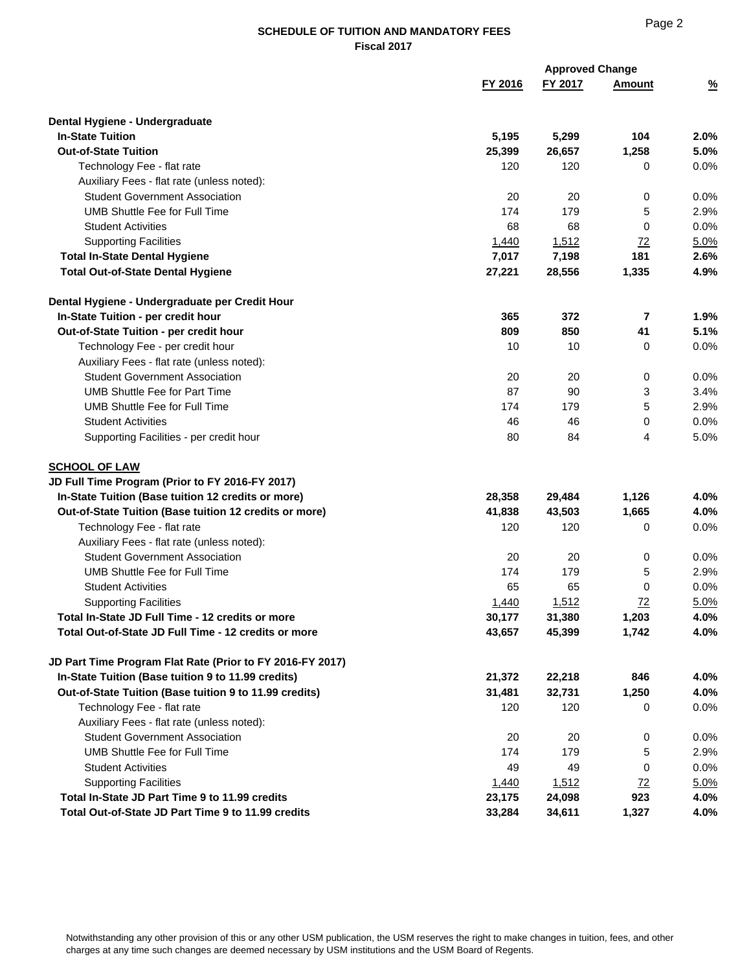|                                                           |         | <b>Approved Change</b> |           |               |
|-----------------------------------------------------------|---------|------------------------|-----------|---------------|
|                                                           | FY 2016 | FY 2017                | Amount    | $\frac{9}{6}$ |
| Dental Hygiene - Undergraduate                            |         |                        |           |               |
| <b>In-State Tuition</b>                                   | 5,195   | 5,299                  | 104       | 2.0%          |
| <b>Out-of-State Tuition</b>                               | 25,399  | 26,657                 | 1,258     | 5.0%          |
| Technology Fee - flat rate                                | 120     | 120                    | 0         | 0.0%          |
| Auxiliary Fees - flat rate (unless noted):                |         |                        |           |               |
| <b>Student Government Association</b>                     | 20      | 20                     | 0         | 0.0%          |
| <b>UMB Shuttle Fee for Full Time</b>                      | 174     | 179                    | 5         | 2.9%          |
| <b>Student Activities</b>                                 | 68      | 68                     | 0         | 0.0%          |
| <b>Supporting Facilities</b>                              | 1,440   | 1,512                  | <u>72</u> | 5.0%          |
| <b>Total In-State Dental Hygiene</b>                      | 7,017   | 7,198                  | 181       | 2.6%          |
| <b>Total Out-of-State Dental Hygiene</b>                  | 27,221  | 28,556                 | 1,335     | 4.9%          |
| Dental Hygiene - Undergraduate per Credit Hour            |         |                        |           |               |
| In-State Tuition - per credit hour                        | 365     | 372                    | 7         | 1.9%          |
| Out-of-State Tuition - per credit hour                    | 809     | 850                    | 41        | 5.1%          |
| Technology Fee - per credit hour                          | 10      | 10                     | 0         | 0.0%          |
| Auxiliary Fees - flat rate (unless noted):                |         |                        |           |               |
| <b>Student Government Association</b>                     | 20      | 20                     | 0         | 0.0%          |
| <b>UMB Shuttle Fee for Part Time</b>                      | 87      | 90                     | 3         | 3.4%          |
| <b>UMB Shuttle Fee for Full Time</b>                      | 174     | 179                    | 5         | 2.9%          |
| <b>Student Activities</b>                                 | 46      | 46                     | 0         | 0.0%          |
| Supporting Facilities - per credit hour                   | 80      | 84                     | 4         | 5.0%          |
| <b>SCHOOL OF LAW</b>                                      |         |                        |           |               |
| JD Full Time Program (Prior to FY 2016-FY 2017)           |         |                        |           |               |
| In-State Tuition (Base tuition 12 credits or more)        | 28,358  | 29,484                 | 1,126     | 4.0%          |
| Out-of-State Tuition (Base tuition 12 credits or more)    | 41,838  | 43,503                 | 1,665     | 4.0%          |
| Technology Fee - flat rate                                | 120     | 120                    | 0         | 0.0%          |
| Auxiliary Fees - flat rate (unless noted):                |         |                        |           |               |
| <b>Student Government Association</b>                     | 20      | 20                     | 0         | 0.0%          |
| <b>UMB Shuttle Fee for Full Time</b>                      | 174     | 179                    | 5         | 2.9%          |
| <b>Student Activities</b>                                 | 65      | 65                     | 0         | 0.0%          |
| <b>Supporting Facilities</b>                              | 1,440   | 1,512                  | 72        | 5.0%          |
| Total In-State JD Full Time - 12 credits or more          | 30,177  | 31,380                 | 1,203     | 4.0%          |
| Total Out-of-State JD Full Time - 12 credits or more      | 43,657  | 45,399                 | 1,742     | 4.0%          |
| JD Part Time Program Flat Rate (Prior to FY 2016-FY 2017) |         |                        |           |               |
| In-State Tuition (Base tuition 9 to 11.99 credits)        | 21,372  | 22,218                 | 846       | 4.0%          |
| Out-of-State Tuition (Base tuition 9 to 11.99 credits)    | 31,481  | 32,731                 | 1,250     | 4.0%          |
| Technology Fee - flat rate                                | 120     | 120                    | 0         | 0.0%          |
| Auxiliary Fees - flat rate (unless noted):                |         |                        |           |               |
| <b>Student Government Association</b>                     | 20      | 20                     | 0         | 0.0%          |
| <b>UMB Shuttle Fee for Full Time</b>                      | 174     | 179                    | 5         | 2.9%          |
| <b>Student Activities</b>                                 | 49      | 49                     | 0         | 0.0%          |
| <b>Supporting Facilities</b>                              | 1,440   | 1,512                  | 72        | 5.0%          |
| Total In-State JD Part Time 9 to 11.99 credits            | 23,175  | 24,098                 | 923       | 4.0%          |
| Total Out-of-State JD Part Time 9 to 11.99 credits        | 33,284  | 34,611                 | 1,327     | 4.0%          |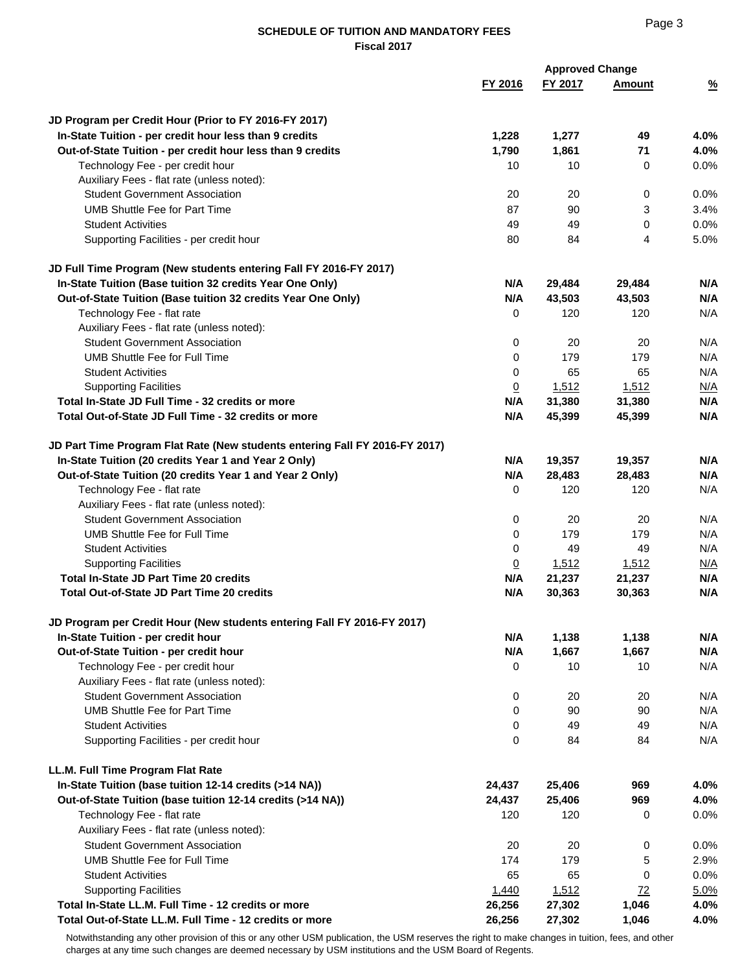|                                                                             |                | <b>Approved Change</b> |               |               |
|-----------------------------------------------------------------------------|----------------|------------------------|---------------|---------------|
|                                                                             | FY 2016        | FY 2017                | <b>Amount</b> | $\frac{9}{6}$ |
| JD Program per Credit Hour (Prior to FY 2016-FY 2017)                       |                |                        |               |               |
| In-State Tuition - per credit hour less than 9 credits                      | 1,228          | 1,277                  | 49            | 4.0%          |
| Out-of-State Tuition - per credit hour less than 9 credits                  | 1,790          | 1,861                  | 71            | 4.0%          |
| Technology Fee - per credit hour                                            | 10             | 10                     | 0             | 0.0%          |
| Auxiliary Fees - flat rate (unless noted):                                  |                |                        |               |               |
| <b>Student Government Association</b>                                       | 20             | 20                     |               | 0.0%          |
| <b>UMB Shuttle Fee for Part Time</b>                                        | 87             | 90                     | 0<br>3        | 3.4%          |
| <b>Student Activities</b>                                                   |                |                        |               |               |
|                                                                             | 49             | 49                     | 0             | 0.0%          |
| Supporting Facilities - per credit hour                                     | 80             | 84                     | 4             | 5.0%          |
| JD Full Time Program (New students entering Fall FY 2016-FY 2017)           |                |                        |               |               |
| In-State Tuition (Base tuition 32 credits Year One Only)                    | N/A            | 29,484                 | 29,484        | N/A           |
| Out-of-State Tuition (Base tuition 32 credits Year One Only)                | N/A            | 43,503                 | 43,503        | N/A           |
| Technology Fee - flat rate                                                  | 0              | 120                    | 120           | N/A           |
| Auxiliary Fees - flat rate (unless noted):                                  |                |                        |               |               |
| <b>Student Government Association</b>                                       | 0              | 20                     | 20            | N/A           |
| UMB Shuttle Fee for Full Time                                               | 0              | 179                    | 179           | N/A           |
| <b>Student Activities</b>                                                   | 0              | 65                     | 65            | N/A           |
| <b>Supporting Facilities</b>                                                | $\overline{0}$ | 1,512                  | 1,512         | N/A           |
| Total In-State JD Full Time - 32 credits or more                            | N/A            | 31,380                 | 31,380        | N/A           |
| Total Out-of-State JD Full Time - 32 credits or more                        | N/A            | 45,399                 | 45,399        | N/A           |
| JD Part Time Program Flat Rate (New students entering Fall FY 2016-FY 2017) |                |                        |               |               |
| In-State Tuition (20 credits Year 1 and Year 2 Only)                        | N/A            | 19,357                 | 19,357        | N/A           |
| Out-of-State Tuition (20 credits Year 1 and Year 2 Only)                    | N/A            | 28,483                 | 28,483        | N/A           |
| Technology Fee - flat rate                                                  | 0              | 120                    | 120           | N/A           |
| Auxiliary Fees - flat rate (unless noted):                                  |                |                        |               |               |
| <b>Student Government Association</b>                                       | 0              | 20                     | 20            | N/A           |
| UMB Shuttle Fee for Full Time                                               | 0              | 179                    | 179           | N/A           |
| <b>Student Activities</b>                                                   | 0              | 49                     | 49            | N/A           |
| <b>Supporting Facilities</b>                                                | $\overline{0}$ | 1,512                  | 1,512         | N/A           |
| <b>Total In-State JD Part Time 20 credits</b>                               | N/A            | 21,237                 | 21,237        | N/A           |
| <b>Total Out-of-State JD Part Time 20 credits</b>                           | N/A            | 30,363                 | 30,363        | N/A           |
| JD Program per Credit Hour (New students entering Fall FY 2016-FY 2017)     |                |                        |               |               |
| In-State Tuition - per credit hour                                          | N/A            | 1,138                  | 1,138         | N/A           |
| Out-of-State Tuition - per credit hour                                      | N/A            | 1,667                  | 1,667         | N/A           |
| Technology Fee - per credit hour                                            | 0              | 10                     | 10            | N/A           |
| Auxiliary Fees - flat rate (unless noted):                                  |                |                        |               |               |
| <b>Student Government Association</b>                                       | 0              | 20                     | 20            | N/A           |
| <b>UMB Shuttle Fee for Part Time</b>                                        | 0              | 90                     | 90            | N/A           |
| <b>Student Activities</b>                                                   | 0              | 49                     | 49            | N/A           |
| Supporting Facilities - per credit hour                                     | 0              | 84                     | 84            | N/A           |
| LL.M. Full Time Program Flat Rate                                           |                |                        |               |               |
| In-State Tuition (base tuition 12-14 credits (>14 NA))                      | 24,437         | 25,406                 | 969           | 4.0%          |
|                                                                             |                |                        |               |               |
| Out-of-State Tuition (base tuition 12-14 credits (>14 NA))                  | 24,437         | 25,406                 | 969           | 4.0%          |
| Technology Fee - flat rate                                                  | 120            | 120                    | 0             | 0.0%          |
| Auxiliary Fees - flat rate (unless noted):                                  |                |                        |               |               |
| <b>Student Government Association</b>                                       | 20             | 20                     | 0             | 0.0%          |
| <b>UMB Shuttle Fee for Full Time</b>                                        | 174            | 179                    | 5             | 2.9%          |
| <b>Student Activities</b>                                                   | 65             | 65                     | 0             | 0.0%          |
| <b>Supporting Facilities</b>                                                | 1,440          | 1,512                  | 72            | 5.0%          |
| Total In-State LL.M. Full Time - 12 credits or more                         | 26,256         | 27,302                 | 1,046         | 4.0%          |
| Total Out-of-State LL.M. Full Time - 12 credits or more                     | 26,256         | 27,302                 | 1,046         | 4.0%          |

Notwithstanding any other provision of this or any other USM publication, the USM reserves the right to make changes in tuition, fees, and other charges at any time such changes are deemed necessary by USM institutions and the USM Board of Regents.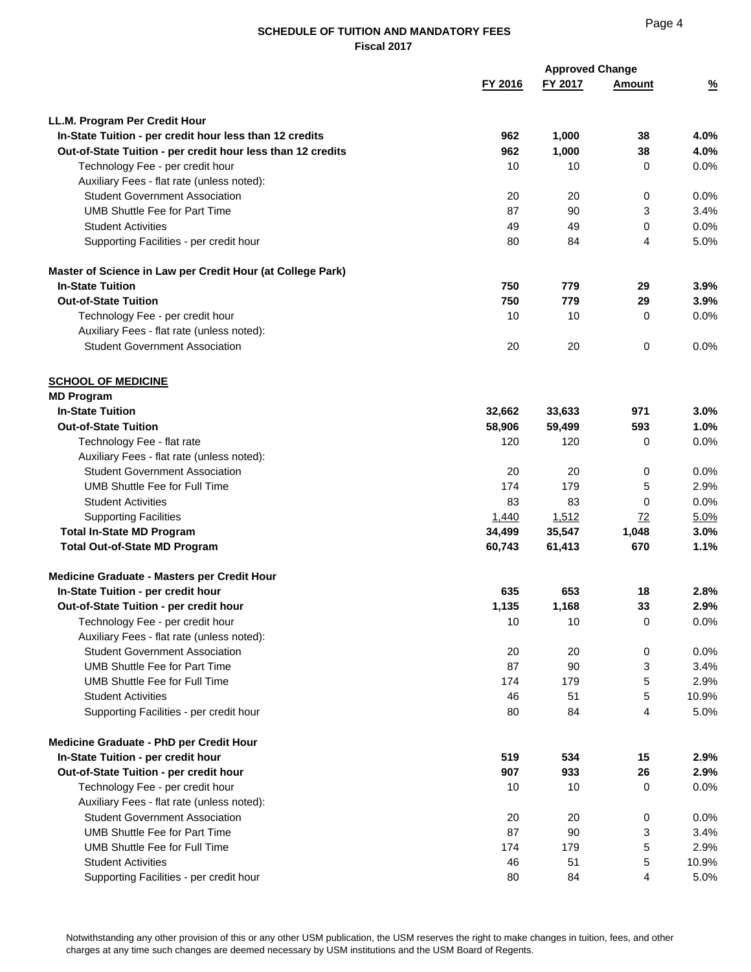| FY 2016<br>FY 2017<br><b>Amount</b><br>$\frac{9}{6}$<br>LL.M. Program Per Credit Hour<br>In-State Tuition - per credit hour less than 12 credits<br>962<br>1,000<br>38<br>4.0%<br>962<br>1,000<br>38<br>4.0%<br>Out-of-State Tuition - per credit hour less than 12 credits<br>0.0%<br>Technology Fee - per credit hour<br>10<br>10<br>0<br>Auxiliary Fees - flat rate (unless noted):<br><b>Student Government Association</b><br>20<br>20<br>0<br>0.0%<br><b>UMB Shuttle Fee for Part Time</b><br>87<br>3.4%<br>90<br>3<br>0.0%<br><b>Student Activities</b><br>49<br>49<br>0<br>Supporting Facilities - per credit hour<br>80<br>84<br>4<br>5.0%<br>Master of Science in Law per Credit Hour (at College Park)<br><b>In-State Tuition</b><br>750<br>779<br>3.9%<br>29<br><b>Out-of-State Tuition</b><br>750<br>779<br>3.9%<br>29<br>10<br>0.0%<br>Technology Fee - per credit hour<br>10<br>0<br>Auxiliary Fees - flat rate (unless noted):<br><b>Student Government Association</b><br>20<br>0<br>0.0%<br>20<br><b>SCHOOL OF MEDICINE</b><br><b>MD Program</b><br><b>In-State Tuition</b><br>32,662<br>33,633<br>971<br>3.0%<br><b>Out-of-State Tuition</b><br>58,906<br>1.0%<br>59,499<br>593<br>0.0%<br>Technology Fee - flat rate<br>120<br>120<br>0<br>Auxiliary Fees - flat rate (unless noted):<br><b>Student Government Association</b><br>20<br>20<br>0.0%<br>0<br><b>UMB Shuttle Fee for Full Time</b><br>174<br>179<br>5<br>2.9%<br>83<br>83<br>0.0%<br><b>Student Activities</b><br>0<br><b>Supporting Facilities</b><br>1,512<br>72<br>1,440<br>5.0%<br>35,547<br><b>Total In-State MD Program</b><br>34,499<br>1,048<br>3.0%<br><b>Total Out-of-State MD Program</b><br>60,743<br>61,413<br>670<br>1.1%<br>Medicine Graduate - Masters per Credit Hour<br>653<br>In-State Tuition - per credit hour<br>635<br>18<br>2.8%<br>1,135<br>1,168<br>33<br>2.9%<br>Out-of-State Tuition - per credit hour<br>$10$<br>0<br>0.0%<br>Technology Fee - per credit hour<br>10<br>Auxiliary Fees - flat rate (unless noted):<br><b>Student Government Association</b><br>20<br>20<br>0<br>0.0%<br>87<br><b>UMB Shuttle Fee for Part Time</b><br>90<br>3.4%<br>3<br>174<br>179<br>5<br>2.9%<br><b>UMB Shuttle Fee for Full Time</b><br><b>Student Activities</b><br>46<br>51<br>5<br>10.9%<br>Supporting Facilities - per credit hour<br>80<br>84<br>4<br>5.0%<br>Medicine Graduate - PhD per Credit Hour<br>519<br>534<br>2.9%<br>In-State Tuition - per credit hour<br>15<br>907<br>933<br>26<br>2.9%<br>Out-of-State Tuition - per credit hour<br>Technology Fee - per credit hour<br>10<br>10<br>0.0%<br>0<br>Auxiliary Fees - flat rate (unless noted):<br><b>Student Government Association</b><br>20<br>20<br>0.0%<br>0<br>87<br><b>UMB Shuttle Fee for Part Time</b><br>90<br>3.4%<br>3<br>2.9%<br><b>UMB Shuttle Fee for Full Time</b><br>174<br>179<br>5<br><b>Student Activities</b><br>46<br>51<br>10.9%<br>5<br>Supporting Facilities - per credit hour<br>80<br>5.0%<br>84<br>4 |  | <b>Approved Change</b> |  |
|--------------------------------------------------------------------------------------------------------------------------------------------------------------------------------------------------------------------------------------------------------------------------------------------------------------------------------------------------------------------------------------------------------------------------------------------------------------------------------------------------------------------------------------------------------------------------------------------------------------------------------------------------------------------------------------------------------------------------------------------------------------------------------------------------------------------------------------------------------------------------------------------------------------------------------------------------------------------------------------------------------------------------------------------------------------------------------------------------------------------------------------------------------------------------------------------------------------------------------------------------------------------------------------------------------------------------------------------------------------------------------------------------------------------------------------------------------------------------------------------------------------------------------------------------------------------------------------------------------------------------------------------------------------------------------------------------------------------------------------------------------------------------------------------------------------------------------------------------------------------------------------------------------------------------------------------------------------------------------------------------------------------------------------------------------------------------------------------------------------------------------------------------------------------------------------------------------------------------------------------------------------------------------------------------------------------------------------------------------------------------------------------------------------------------------------------------------------------------------------------------------------------------------------------------------------------------------------------------------------------------------------------------------------------------------------------------------------------------------------------------------------------------------------------------------------------------------------------------------------------------------------------------------------------------------------------------------------------------------------------------|--|------------------------|--|
|                                                                                                                                                                                                                                                                                                                                                                                                                                                                                                                                                                                                                                                                                                                                                                                                                                                                                                                                                                                                                                                                                                                                                                                                                                                                                                                                                                                                                                                                                                                                                                                                                                                                                                                                                                                                                                                                                                                                                                                                                                                                                                                                                                                                                                                                                                                                                                                                                                                                                                                                                                                                                                                                                                                                                                                                                                                                                                                                                                                                  |  |                        |  |
|                                                                                                                                                                                                                                                                                                                                                                                                                                                                                                                                                                                                                                                                                                                                                                                                                                                                                                                                                                                                                                                                                                                                                                                                                                                                                                                                                                                                                                                                                                                                                                                                                                                                                                                                                                                                                                                                                                                                                                                                                                                                                                                                                                                                                                                                                                                                                                                                                                                                                                                                                                                                                                                                                                                                                                                                                                                                                                                                                                                                  |  |                        |  |
|                                                                                                                                                                                                                                                                                                                                                                                                                                                                                                                                                                                                                                                                                                                                                                                                                                                                                                                                                                                                                                                                                                                                                                                                                                                                                                                                                                                                                                                                                                                                                                                                                                                                                                                                                                                                                                                                                                                                                                                                                                                                                                                                                                                                                                                                                                                                                                                                                                                                                                                                                                                                                                                                                                                                                                                                                                                                                                                                                                                                  |  |                        |  |
|                                                                                                                                                                                                                                                                                                                                                                                                                                                                                                                                                                                                                                                                                                                                                                                                                                                                                                                                                                                                                                                                                                                                                                                                                                                                                                                                                                                                                                                                                                                                                                                                                                                                                                                                                                                                                                                                                                                                                                                                                                                                                                                                                                                                                                                                                                                                                                                                                                                                                                                                                                                                                                                                                                                                                                                                                                                                                                                                                                                                  |  |                        |  |
|                                                                                                                                                                                                                                                                                                                                                                                                                                                                                                                                                                                                                                                                                                                                                                                                                                                                                                                                                                                                                                                                                                                                                                                                                                                                                                                                                                                                                                                                                                                                                                                                                                                                                                                                                                                                                                                                                                                                                                                                                                                                                                                                                                                                                                                                                                                                                                                                                                                                                                                                                                                                                                                                                                                                                                                                                                                                                                                                                                                                  |  |                        |  |
|                                                                                                                                                                                                                                                                                                                                                                                                                                                                                                                                                                                                                                                                                                                                                                                                                                                                                                                                                                                                                                                                                                                                                                                                                                                                                                                                                                                                                                                                                                                                                                                                                                                                                                                                                                                                                                                                                                                                                                                                                                                                                                                                                                                                                                                                                                                                                                                                                                                                                                                                                                                                                                                                                                                                                                                                                                                                                                                                                                                                  |  |                        |  |
|                                                                                                                                                                                                                                                                                                                                                                                                                                                                                                                                                                                                                                                                                                                                                                                                                                                                                                                                                                                                                                                                                                                                                                                                                                                                                                                                                                                                                                                                                                                                                                                                                                                                                                                                                                                                                                                                                                                                                                                                                                                                                                                                                                                                                                                                                                                                                                                                                                                                                                                                                                                                                                                                                                                                                                                                                                                                                                                                                                                                  |  |                        |  |
|                                                                                                                                                                                                                                                                                                                                                                                                                                                                                                                                                                                                                                                                                                                                                                                                                                                                                                                                                                                                                                                                                                                                                                                                                                                                                                                                                                                                                                                                                                                                                                                                                                                                                                                                                                                                                                                                                                                                                                                                                                                                                                                                                                                                                                                                                                                                                                                                                                                                                                                                                                                                                                                                                                                                                                                                                                                                                                                                                                                                  |  |                        |  |
|                                                                                                                                                                                                                                                                                                                                                                                                                                                                                                                                                                                                                                                                                                                                                                                                                                                                                                                                                                                                                                                                                                                                                                                                                                                                                                                                                                                                                                                                                                                                                                                                                                                                                                                                                                                                                                                                                                                                                                                                                                                                                                                                                                                                                                                                                                                                                                                                                                                                                                                                                                                                                                                                                                                                                                                                                                                                                                                                                                                                  |  |                        |  |
|                                                                                                                                                                                                                                                                                                                                                                                                                                                                                                                                                                                                                                                                                                                                                                                                                                                                                                                                                                                                                                                                                                                                                                                                                                                                                                                                                                                                                                                                                                                                                                                                                                                                                                                                                                                                                                                                                                                                                                                                                                                                                                                                                                                                                                                                                                                                                                                                                                                                                                                                                                                                                                                                                                                                                                                                                                                                                                                                                                                                  |  |                        |  |
|                                                                                                                                                                                                                                                                                                                                                                                                                                                                                                                                                                                                                                                                                                                                                                                                                                                                                                                                                                                                                                                                                                                                                                                                                                                                                                                                                                                                                                                                                                                                                                                                                                                                                                                                                                                                                                                                                                                                                                                                                                                                                                                                                                                                                                                                                                                                                                                                                                                                                                                                                                                                                                                                                                                                                                                                                                                                                                                                                                                                  |  |                        |  |
|                                                                                                                                                                                                                                                                                                                                                                                                                                                                                                                                                                                                                                                                                                                                                                                                                                                                                                                                                                                                                                                                                                                                                                                                                                                                                                                                                                                                                                                                                                                                                                                                                                                                                                                                                                                                                                                                                                                                                                                                                                                                                                                                                                                                                                                                                                                                                                                                                                                                                                                                                                                                                                                                                                                                                                                                                                                                                                                                                                                                  |  |                        |  |
|                                                                                                                                                                                                                                                                                                                                                                                                                                                                                                                                                                                                                                                                                                                                                                                                                                                                                                                                                                                                                                                                                                                                                                                                                                                                                                                                                                                                                                                                                                                                                                                                                                                                                                                                                                                                                                                                                                                                                                                                                                                                                                                                                                                                                                                                                                                                                                                                                                                                                                                                                                                                                                                                                                                                                                                                                                                                                                                                                                                                  |  |                        |  |
|                                                                                                                                                                                                                                                                                                                                                                                                                                                                                                                                                                                                                                                                                                                                                                                                                                                                                                                                                                                                                                                                                                                                                                                                                                                                                                                                                                                                                                                                                                                                                                                                                                                                                                                                                                                                                                                                                                                                                                                                                                                                                                                                                                                                                                                                                                                                                                                                                                                                                                                                                                                                                                                                                                                                                                                                                                                                                                                                                                                                  |  |                        |  |
|                                                                                                                                                                                                                                                                                                                                                                                                                                                                                                                                                                                                                                                                                                                                                                                                                                                                                                                                                                                                                                                                                                                                                                                                                                                                                                                                                                                                                                                                                                                                                                                                                                                                                                                                                                                                                                                                                                                                                                                                                                                                                                                                                                                                                                                                                                                                                                                                                                                                                                                                                                                                                                                                                                                                                                                                                                                                                                                                                                                                  |  |                        |  |
|                                                                                                                                                                                                                                                                                                                                                                                                                                                                                                                                                                                                                                                                                                                                                                                                                                                                                                                                                                                                                                                                                                                                                                                                                                                                                                                                                                                                                                                                                                                                                                                                                                                                                                                                                                                                                                                                                                                                                                                                                                                                                                                                                                                                                                                                                                                                                                                                                                                                                                                                                                                                                                                                                                                                                                                                                                                                                                                                                                                                  |  |                        |  |
|                                                                                                                                                                                                                                                                                                                                                                                                                                                                                                                                                                                                                                                                                                                                                                                                                                                                                                                                                                                                                                                                                                                                                                                                                                                                                                                                                                                                                                                                                                                                                                                                                                                                                                                                                                                                                                                                                                                                                                                                                                                                                                                                                                                                                                                                                                                                                                                                                                                                                                                                                                                                                                                                                                                                                                                                                                                                                                                                                                                                  |  |                        |  |
|                                                                                                                                                                                                                                                                                                                                                                                                                                                                                                                                                                                                                                                                                                                                                                                                                                                                                                                                                                                                                                                                                                                                                                                                                                                                                                                                                                                                                                                                                                                                                                                                                                                                                                                                                                                                                                                                                                                                                                                                                                                                                                                                                                                                                                                                                                                                                                                                                                                                                                                                                                                                                                                                                                                                                                                                                                                                                                                                                                                                  |  |                        |  |
|                                                                                                                                                                                                                                                                                                                                                                                                                                                                                                                                                                                                                                                                                                                                                                                                                                                                                                                                                                                                                                                                                                                                                                                                                                                                                                                                                                                                                                                                                                                                                                                                                                                                                                                                                                                                                                                                                                                                                                                                                                                                                                                                                                                                                                                                                                                                                                                                                                                                                                                                                                                                                                                                                                                                                                                                                                                                                                                                                                                                  |  |                        |  |
|                                                                                                                                                                                                                                                                                                                                                                                                                                                                                                                                                                                                                                                                                                                                                                                                                                                                                                                                                                                                                                                                                                                                                                                                                                                                                                                                                                                                                                                                                                                                                                                                                                                                                                                                                                                                                                                                                                                                                                                                                                                                                                                                                                                                                                                                                                                                                                                                                                                                                                                                                                                                                                                                                                                                                                                                                                                                                                                                                                                                  |  |                        |  |
|                                                                                                                                                                                                                                                                                                                                                                                                                                                                                                                                                                                                                                                                                                                                                                                                                                                                                                                                                                                                                                                                                                                                                                                                                                                                                                                                                                                                                                                                                                                                                                                                                                                                                                                                                                                                                                                                                                                                                                                                                                                                                                                                                                                                                                                                                                                                                                                                                                                                                                                                                                                                                                                                                                                                                                                                                                                                                                                                                                                                  |  |                        |  |
|                                                                                                                                                                                                                                                                                                                                                                                                                                                                                                                                                                                                                                                                                                                                                                                                                                                                                                                                                                                                                                                                                                                                                                                                                                                                                                                                                                                                                                                                                                                                                                                                                                                                                                                                                                                                                                                                                                                                                                                                                                                                                                                                                                                                                                                                                                                                                                                                                                                                                                                                                                                                                                                                                                                                                                                                                                                                                                                                                                                                  |  |                        |  |
|                                                                                                                                                                                                                                                                                                                                                                                                                                                                                                                                                                                                                                                                                                                                                                                                                                                                                                                                                                                                                                                                                                                                                                                                                                                                                                                                                                                                                                                                                                                                                                                                                                                                                                                                                                                                                                                                                                                                                                                                                                                                                                                                                                                                                                                                                                                                                                                                                                                                                                                                                                                                                                                                                                                                                                                                                                                                                                                                                                                                  |  |                        |  |
|                                                                                                                                                                                                                                                                                                                                                                                                                                                                                                                                                                                                                                                                                                                                                                                                                                                                                                                                                                                                                                                                                                                                                                                                                                                                                                                                                                                                                                                                                                                                                                                                                                                                                                                                                                                                                                                                                                                                                                                                                                                                                                                                                                                                                                                                                                                                                                                                                                                                                                                                                                                                                                                                                                                                                                                                                                                                                                                                                                                                  |  |                        |  |
|                                                                                                                                                                                                                                                                                                                                                                                                                                                                                                                                                                                                                                                                                                                                                                                                                                                                                                                                                                                                                                                                                                                                                                                                                                                                                                                                                                                                                                                                                                                                                                                                                                                                                                                                                                                                                                                                                                                                                                                                                                                                                                                                                                                                                                                                                                                                                                                                                                                                                                                                                                                                                                                                                                                                                                                                                                                                                                                                                                                                  |  |                        |  |
|                                                                                                                                                                                                                                                                                                                                                                                                                                                                                                                                                                                                                                                                                                                                                                                                                                                                                                                                                                                                                                                                                                                                                                                                                                                                                                                                                                                                                                                                                                                                                                                                                                                                                                                                                                                                                                                                                                                                                                                                                                                                                                                                                                                                                                                                                                                                                                                                                                                                                                                                                                                                                                                                                                                                                                                                                                                                                                                                                                                                  |  |                        |  |
|                                                                                                                                                                                                                                                                                                                                                                                                                                                                                                                                                                                                                                                                                                                                                                                                                                                                                                                                                                                                                                                                                                                                                                                                                                                                                                                                                                                                                                                                                                                                                                                                                                                                                                                                                                                                                                                                                                                                                                                                                                                                                                                                                                                                                                                                                                                                                                                                                                                                                                                                                                                                                                                                                                                                                                                                                                                                                                                                                                                                  |  |                        |  |
|                                                                                                                                                                                                                                                                                                                                                                                                                                                                                                                                                                                                                                                                                                                                                                                                                                                                                                                                                                                                                                                                                                                                                                                                                                                                                                                                                                                                                                                                                                                                                                                                                                                                                                                                                                                                                                                                                                                                                                                                                                                                                                                                                                                                                                                                                                                                                                                                                                                                                                                                                                                                                                                                                                                                                                                                                                                                                                                                                                                                  |  |                        |  |
|                                                                                                                                                                                                                                                                                                                                                                                                                                                                                                                                                                                                                                                                                                                                                                                                                                                                                                                                                                                                                                                                                                                                                                                                                                                                                                                                                                                                                                                                                                                                                                                                                                                                                                                                                                                                                                                                                                                                                                                                                                                                                                                                                                                                                                                                                                                                                                                                                                                                                                                                                                                                                                                                                                                                                                                                                                                                                                                                                                                                  |  |                        |  |
|                                                                                                                                                                                                                                                                                                                                                                                                                                                                                                                                                                                                                                                                                                                                                                                                                                                                                                                                                                                                                                                                                                                                                                                                                                                                                                                                                                                                                                                                                                                                                                                                                                                                                                                                                                                                                                                                                                                                                                                                                                                                                                                                                                                                                                                                                                                                                                                                                                                                                                                                                                                                                                                                                                                                                                                                                                                                                                                                                                                                  |  |                        |  |
|                                                                                                                                                                                                                                                                                                                                                                                                                                                                                                                                                                                                                                                                                                                                                                                                                                                                                                                                                                                                                                                                                                                                                                                                                                                                                                                                                                                                                                                                                                                                                                                                                                                                                                                                                                                                                                                                                                                                                                                                                                                                                                                                                                                                                                                                                                                                                                                                                                                                                                                                                                                                                                                                                                                                                                                                                                                                                                                                                                                                  |  |                        |  |
|                                                                                                                                                                                                                                                                                                                                                                                                                                                                                                                                                                                                                                                                                                                                                                                                                                                                                                                                                                                                                                                                                                                                                                                                                                                                                                                                                                                                                                                                                                                                                                                                                                                                                                                                                                                                                                                                                                                                                                                                                                                                                                                                                                                                                                                                                                                                                                                                                                                                                                                                                                                                                                                                                                                                                                                                                                                                                                                                                                                                  |  |                        |  |
|                                                                                                                                                                                                                                                                                                                                                                                                                                                                                                                                                                                                                                                                                                                                                                                                                                                                                                                                                                                                                                                                                                                                                                                                                                                                                                                                                                                                                                                                                                                                                                                                                                                                                                                                                                                                                                                                                                                                                                                                                                                                                                                                                                                                                                                                                                                                                                                                                                                                                                                                                                                                                                                                                                                                                                                                                                                                                                                                                                                                  |  |                        |  |
|                                                                                                                                                                                                                                                                                                                                                                                                                                                                                                                                                                                                                                                                                                                                                                                                                                                                                                                                                                                                                                                                                                                                                                                                                                                                                                                                                                                                                                                                                                                                                                                                                                                                                                                                                                                                                                                                                                                                                                                                                                                                                                                                                                                                                                                                                                                                                                                                                                                                                                                                                                                                                                                                                                                                                                                                                                                                                                                                                                                                  |  |                        |  |
|                                                                                                                                                                                                                                                                                                                                                                                                                                                                                                                                                                                                                                                                                                                                                                                                                                                                                                                                                                                                                                                                                                                                                                                                                                                                                                                                                                                                                                                                                                                                                                                                                                                                                                                                                                                                                                                                                                                                                                                                                                                                                                                                                                                                                                                                                                                                                                                                                                                                                                                                                                                                                                                                                                                                                                                                                                                                                                                                                                                                  |  |                        |  |
|                                                                                                                                                                                                                                                                                                                                                                                                                                                                                                                                                                                                                                                                                                                                                                                                                                                                                                                                                                                                                                                                                                                                                                                                                                                                                                                                                                                                                                                                                                                                                                                                                                                                                                                                                                                                                                                                                                                                                                                                                                                                                                                                                                                                                                                                                                                                                                                                                                                                                                                                                                                                                                                                                                                                                                                                                                                                                                                                                                                                  |  |                        |  |
|                                                                                                                                                                                                                                                                                                                                                                                                                                                                                                                                                                                                                                                                                                                                                                                                                                                                                                                                                                                                                                                                                                                                                                                                                                                                                                                                                                                                                                                                                                                                                                                                                                                                                                                                                                                                                                                                                                                                                                                                                                                                                                                                                                                                                                                                                                                                                                                                                                                                                                                                                                                                                                                                                                                                                                                                                                                                                                                                                                                                  |  |                        |  |
|                                                                                                                                                                                                                                                                                                                                                                                                                                                                                                                                                                                                                                                                                                                                                                                                                                                                                                                                                                                                                                                                                                                                                                                                                                                                                                                                                                                                                                                                                                                                                                                                                                                                                                                                                                                                                                                                                                                                                                                                                                                                                                                                                                                                                                                                                                                                                                                                                                                                                                                                                                                                                                                                                                                                                                                                                                                                                                                                                                                                  |  |                        |  |
|                                                                                                                                                                                                                                                                                                                                                                                                                                                                                                                                                                                                                                                                                                                                                                                                                                                                                                                                                                                                                                                                                                                                                                                                                                                                                                                                                                                                                                                                                                                                                                                                                                                                                                                                                                                                                                                                                                                                                                                                                                                                                                                                                                                                                                                                                                                                                                                                                                                                                                                                                                                                                                                                                                                                                                                                                                                                                                                                                                                                  |  |                        |  |
|                                                                                                                                                                                                                                                                                                                                                                                                                                                                                                                                                                                                                                                                                                                                                                                                                                                                                                                                                                                                                                                                                                                                                                                                                                                                                                                                                                                                                                                                                                                                                                                                                                                                                                                                                                                                                                                                                                                                                                                                                                                                                                                                                                                                                                                                                                                                                                                                                                                                                                                                                                                                                                                                                                                                                                                                                                                                                                                                                                                                  |  |                        |  |
|                                                                                                                                                                                                                                                                                                                                                                                                                                                                                                                                                                                                                                                                                                                                                                                                                                                                                                                                                                                                                                                                                                                                                                                                                                                                                                                                                                                                                                                                                                                                                                                                                                                                                                                                                                                                                                                                                                                                                                                                                                                                                                                                                                                                                                                                                                                                                                                                                                                                                                                                                                                                                                                                                                                                                                                                                                                                                                                                                                                                  |  |                        |  |
|                                                                                                                                                                                                                                                                                                                                                                                                                                                                                                                                                                                                                                                                                                                                                                                                                                                                                                                                                                                                                                                                                                                                                                                                                                                                                                                                                                                                                                                                                                                                                                                                                                                                                                                                                                                                                                                                                                                                                                                                                                                                                                                                                                                                                                                                                                                                                                                                                                                                                                                                                                                                                                                                                                                                                                                                                                                                                                                                                                                                  |  |                        |  |
|                                                                                                                                                                                                                                                                                                                                                                                                                                                                                                                                                                                                                                                                                                                                                                                                                                                                                                                                                                                                                                                                                                                                                                                                                                                                                                                                                                                                                                                                                                                                                                                                                                                                                                                                                                                                                                                                                                                                                                                                                                                                                                                                                                                                                                                                                                                                                                                                                                                                                                                                                                                                                                                                                                                                                                                                                                                                                                                                                                                                  |  |                        |  |
|                                                                                                                                                                                                                                                                                                                                                                                                                                                                                                                                                                                                                                                                                                                                                                                                                                                                                                                                                                                                                                                                                                                                                                                                                                                                                                                                                                                                                                                                                                                                                                                                                                                                                                                                                                                                                                                                                                                                                                                                                                                                                                                                                                                                                                                                                                                                                                                                                                                                                                                                                                                                                                                                                                                                                                                                                                                                                                                                                                                                  |  |                        |  |
|                                                                                                                                                                                                                                                                                                                                                                                                                                                                                                                                                                                                                                                                                                                                                                                                                                                                                                                                                                                                                                                                                                                                                                                                                                                                                                                                                                                                                                                                                                                                                                                                                                                                                                                                                                                                                                                                                                                                                                                                                                                                                                                                                                                                                                                                                                                                                                                                                                                                                                                                                                                                                                                                                                                                                                                                                                                                                                                                                                                                  |  |                        |  |
|                                                                                                                                                                                                                                                                                                                                                                                                                                                                                                                                                                                                                                                                                                                                                                                                                                                                                                                                                                                                                                                                                                                                                                                                                                                                                                                                                                                                                                                                                                                                                                                                                                                                                                                                                                                                                                                                                                                                                                                                                                                                                                                                                                                                                                                                                                                                                                                                                                                                                                                                                                                                                                                                                                                                                                                                                                                                                                                                                                                                  |  |                        |  |
|                                                                                                                                                                                                                                                                                                                                                                                                                                                                                                                                                                                                                                                                                                                                                                                                                                                                                                                                                                                                                                                                                                                                                                                                                                                                                                                                                                                                                                                                                                                                                                                                                                                                                                                                                                                                                                                                                                                                                                                                                                                                                                                                                                                                                                                                                                                                                                                                                                                                                                                                                                                                                                                                                                                                                                                                                                                                                                                                                                                                  |  |                        |  |
|                                                                                                                                                                                                                                                                                                                                                                                                                                                                                                                                                                                                                                                                                                                                                                                                                                                                                                                                                                                                                                                                                                                                                                                                                                                                                                                                                                                                                                                                                                                                                                                                                                                                                                                                                                                                                                                                                                                                                                                                                                                                                                                                                                                                                                                                                                                                                                                                                                                                                                                                                                                                                                                                                                                                                                                                                                                                                                                                                                                                  |  |                        |  |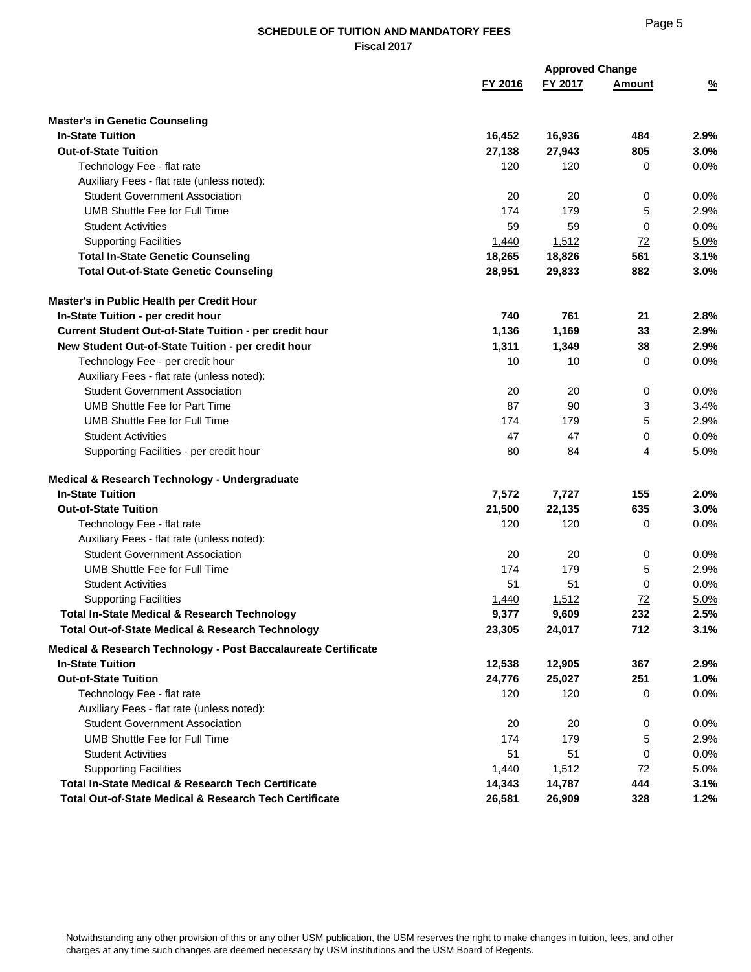# Page 5

|                                                                   |         | <b>Approved Change</b> |                |               |  |
|-------------------------------------------------------------------|---------|------------------------|----------------|---------------|--|
|                                                                   | FY 2016 | FY 2017                | Amount         | $\frac{9}{6}$ |  |
| <b>Master's in Genetic Counseling</b>                             |         |                        |                |               |  |
| <b>In-State Tuition</b>                                           | 16,452  | 16,936                 | 484            | 2.9%          |  |
| <b>Out-of-State Tuition</b>                                       | 27,138  | 27,943                 | 805            | 3.0%          |  |
| Technology Fee - flat rate                                        | 120     | 120                    | 0              | 0.0%          |  |
| Auxiliary Fees - flat rate (unless noted):                        |         |                        |                |               |  |
| <b>Student Government Association</b>                             | 20      | 20                     | 0              | 0.0%          |  |
| UMB Shuttle Fee for Full Time                                     | 174     | 179                    | 5              | 2.9%          |  |
| <b>Student Activities</b>                                         | 59      | 59                     | 0              | 0.0%          |  |
| <b>Supporting Facilities</b>                                      | 1,440   | 1,512                  | 72             | 5.0%          |  |
| <b>Total In-State Genetic Counseling</b>                          | 18,265  | 18,826                 | 561            | 3.1%          |  |
| <b>Total Out-of-State Genetic Counseling</b>                      | 28,951  | 29,833                 | 882            | 3.0%          |  |
| Master's in Public Health per Credit Hour                         |         |                        |                |               |  |
| In-State Tuition - per credit hour                                | 740     | 761                    | 21             | 2.8%          |  |
| Current Student Out-of-State Tuition - per credit hour            | 1,136   | 1,169                  | 33             | 2.9%          |  |
| New Student Out-of-State Tuition - per credit hour                | 1,311   | 1,349                  | 38             | 2.9%          |  |
| Technology Fee - per credit hour                                  | 10      | 10                     | 0              | 0.0%          |  |
| Auxiliary Fees - flat rate (unless noted):                        |         |                        |                |               |  |
| <b>Student Government Association</b>                             | 20      | 20                     | 0              | 0.0%          |  |
| <b>UMB Shuttle Fee for Part Time</b>                              | 87      | 90                     | 3              | 3.4%          |  |
| UMB Shuttle Fee for Full Time                                     | 174     | 179                    | 5              | 2.9%          |  |
| <b>Student Activities</b>                                         | 47      | 47                     | 0              | 0.0%          |  |
| Supporting Facilities - per credit hour                           | 80      | 84                     | 4              | 5.0%          |  |
| Medical & Research Technology - Undergraduate                     |         |                        |                |               |  |
| <b>In-State Tuition</b>                                           | 7,572   | 7,727                  | 155            | 2.0%          |  |
| <b>Out-of-State Tuition</b>                                       | 21,500  | 22,135                 | 635            | 3.0%          |  |
| Technology Fee - flat rate                                        | 120     | 120                    | 0              | 0.0%          |  |
| Auxiliary Fees - flat rate (unless noted):                        |         |                        |                |               |  |
| <b>Student Government Association</b>                             | 20      | 20                     | 0              | 0.0%          |  |
| <b>UMB Shuttle Fee for Full Time</b>                              | 174     | 179                    | 5              | 2.9%          |  |
| <b>Student Activities</b>                                         | 51      | 51                     | $\Omega$       | 0.0%          |  |
| <b>Supporting Facilities</b>                                      | 1,440   | 1,512                  | $\frac{72}{2}$ | 5.0%          |  |
| <b>Total In-State Medical &amp; Research Technology</b>           | 9,377   | 9,609                  | 232            | 2.5%          |  |
| <b>Total Out-of-State Medical &amp; Research Technology</b>       | 23,305  | 24,017                 | 712            | 3.1%          |  |
| Medical & Research Technology - Post Baccalaureate Certificate    |         |                        |                |               |  |
| <b>In-State Tuition</b>                                           | 12,538  | 12,905                 | 367            | 2.9%          |  |
| <b>Out-of-State Tuition</b>                                       | 24,776  | 25,027                 | 251            | 1.0%          |  |
| Technology Fee - flat rate                                        | 120     | 120                    | 0              | 0.0%          |  |
| Auxiliary Fees - flat rate (unless noted):                        |         |                        |                |               |  |
| <b>Student Government Association</b>                             | 20      | 20                     | 0              | 0.0%          |  |
| <b>UMB Shuttle Fee for Full Time</b>                              | 174     | 179                    | 5              | 2.9%          |  |
| <b>Student Activities</b>                                         | 51      | 51                     | 0              | 0.0%          |  |
| <b>Supporting Facilities</b>                                      | 1,440   | 1,512                  | 72             | 5.0%          |  |
| Total In-State Medical & Research Tech Certificate                | 14,343  | 14,787                 | 444            | 3.1%          |  |
| <b>Total Out-of-State Medical &amp; Research Tech Certificate</b> | 26,581  | 26,909                 | 328            | 1.2%          |  |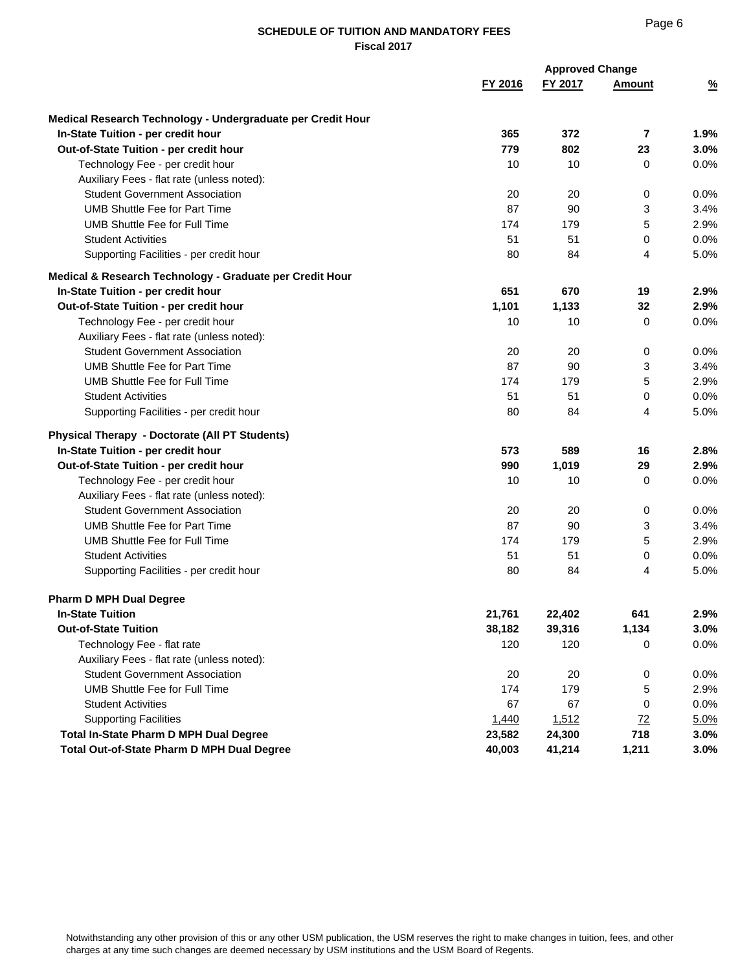# Page 6

|                                                             |         | <b>Approved Change</b> |                |               |
|-------------------------------------------------------------|---------|------------------------|----------------|---------------|
|                                                             | FY 2016 | FY 2017                | Amount         | $\frac{9}{6}$ |
| Medical Research Technology - Undergraduate per Credit Hour |         |                        |                |               |
| In-State Tuition - per credit hour                          | 365     | 372                    | $\overline{7}$ | 1.9%          |
| Out-of-State Tuition - per credit hour                      | 779     | 802                    | 23             | 3.0%          |
| Technology Fee - per credit hour                            | 10      | 10                     | 0              | 0.0%          |
| Auxiliary Fees - flat rate (unless noted):                  |         |                        |                |               |
| <b>Student Government Association</b>                       | 20      | 20                     | 0              | 0.0%          |
| <b>UMB Shuttle Fee for Part Time</b>                        | 87      | 90                     | 3              | 3.4%          |
| <b>UMB Shuttle Fee for Full Time</b>                        | 174     | 179                    | 5              | 2.9%          |
| <b>Student Activities</b>                                   | 51      | 51                     | 0              | 0.0%          |
| Supporting Facilities - per credit hour                     | 80      | 84                     | 4              | 5.0%          |
| Medical & Research Technology - Graduate per Credit Hour    |         |                        |                |               |
| In-State Tuition - per credit hour                          | 651     | 670                    | 19             | 2.9%          |
| Out-of-State Tuition - per credit hour                      | 1,101   | 1,133                  | 32             | 2.9%          |
| Technology Fee - per credit hour                            | 10      | 10                     | 0              | 0.0%          |
| Auxiliary Fees - flat rate (unless noted):                  |         |                        |                |               |
| <b>Student Government Association</b>                       | 20      | 20                     | 0              | 0.0%          |
| <b>UMB Shuttle Fee for Part Time</b>                        | 87      | 90                     | 3              | 3.4%          |
| <b>UMB Shuttle Fee for Full Time</b>                        | 174     | 179                    | 5              | 2.9%          |
| <b>Student Activities</b>                                   | 51      | 51                     | 0              | 0.0%          |
| Supporting Facilities - per credit hour                     | 80      | 84                     | 4              | 5.0%          |
| <b>Physical Therapy - Doctorate (All PT Students)</b>       |         |                        |                |               |
| In-State Tuition - per credit hour                          | 573     | 589                    | 16             | 2.8%          |
| Out-of-State Tuition - per credit hour                      | 990     | 1,019                  | 29             | 2.9%          |
| Technology Fee - per credit hour                            | 10      | 10                     | 0              | 0.0%          |
| Auxiliary Fees - flat rate (unless noted):                  |         |                        |                |               |
| <b>Student Government Association</b>                       | 20      | 20                     | 0              | 0.0%          |
| <b>UMB Shuttle Fee for Part Time</b>                        | 87      | 90                     | 3              | 3.4%          |
| <b>UMB Shuttle Fee for Full Time</b>                        | 174     | 179                    | 5              | 2.9%          |
| <b>Student Activities</b>                                   | 51      | 51                     | 0              | 0.0%          |
| Supporting Facilities - per credit hour                     | 80      | 84                     | 4              | 5.0%          |
| <b>Pharm D MPH Dual Degree</b>                              |         |                        |                |               |
| <b>In-State Tuition</b>                                     | 21,761  | 22,402                 | 641            | 2.9%          |
| <b>Out-of-State Tuition</b>                                 | 38,182  | 39,316                 | 1,134          | 3.0%          |
| Technology Fee - flat rate                                  | 120     | 120                    | 0              | 0.0%          |
| Auxiliary Fees - flat rate (unless noted):                  |         |                        |                |               |
| <b>Student Government Association</b>                       | 20      | 20                     | 0              | 0.0%          |
| <b>UMB Shuttle Fee for Full Time</b>                        | 174     | 179                    | 5              | 2.9%          |
| <b>Student Activities</b>                                   | 67      | 67                     | 0              | 0.0%          |
| <b>Supporting Facilities</b>                                | 1,440   | 1,512                  | 72             | 5.0%          |
| Total In-State Pharm D MPH Dual Degree                      | 23,582  | 24,300                 | 718            | 3.0%          |
| Total Out-of-State Pharm D MPH Dual Degree                  | 40,003  | 41,214                 | 1,211          | 3.0%          |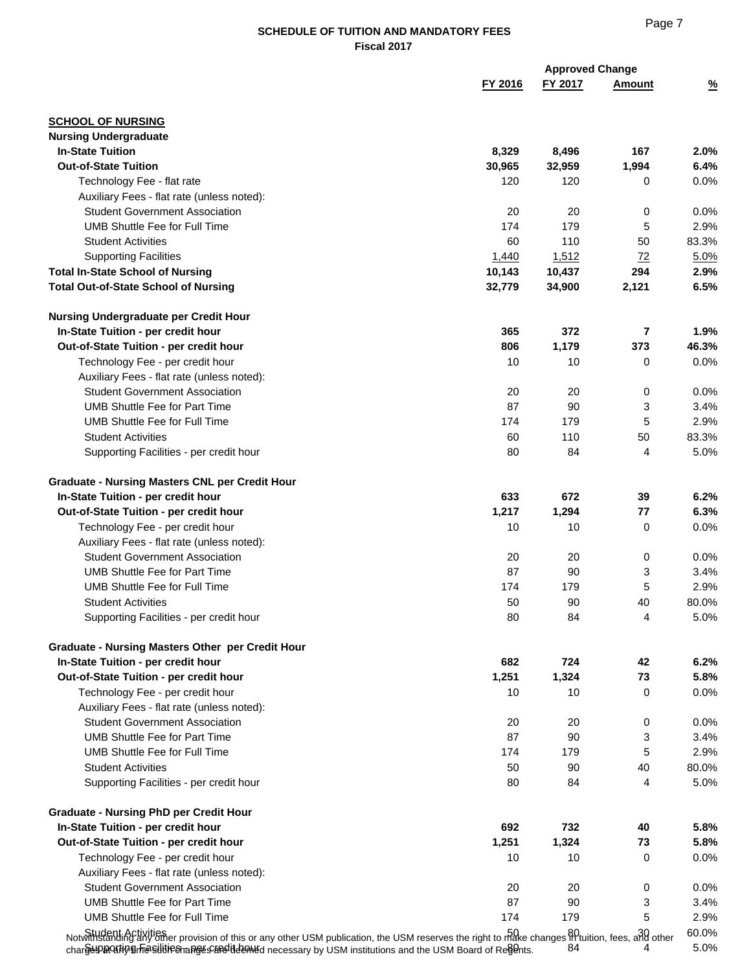|                                                                                                                                                                                                                                                                                     |         | <b>Approved Change</b> |                |               |
|-------------------------------------------------------------------------------------------------------------------------------------------------------------------------------------------------------------------------------------------------------------------------------------|---------|------------------------|----------------|---------------|
|                                                                                                                                                                                                                                                                                     | FY 2016 | FY 2017                | Amount         | $\frac{9}{6}$ |
| <b>SCHOOL OF NURSING</b>                                                                                                                                                                                                                                                            |         |                        |                |               |
| <b>Nursing Undergraduate</b>                                                                                                                                                                                                                                                        |         |                        |                |               |
| <b>In-State Tuition</b>                                                                                                                                                                                                                                                             | 8,329   | 8,496                  | 167            | 2.0%          |
| <b>Out-of-State Tuition</b>                                                                                                                                                                                                                                                         | 30,965  | 32,959                 | 1,994          | 6.4%          |
| Technology Fee - flat rate                                                                                                                                                                                                                                                          | 120     | 120                    | 0              | 0.0%          |
| Auxiliary Fees - flat rate (unless noted):                                                                                                                                                                                                                                          |         |                        |                |               |
| <b>Student Government Association</b>                                                                                                                                                                                                                                               | 20      | 20                     | 0              | 0.0%          |
| UMB Shuttle Fee for Full Time                                                                                                                                                                                                                                                       | 174     | 179                    | 5              | 2.9%          |
| <b>Student Activities</b>                                                                                                                                                                                                                                                           | 60      | 110                    | 50             | 83.3%         |
| <b>Supporting Facilities</b>                                                                                                                                                                                                                                                        | 1,440   | 1,512                  | Z <sub>2</sub> | 5.0%          |
| <b>Total In-State School of Nursing</b>                                                                                                                                                                                                                                             | 10,143  | 10,437                 | 294            | 2.9%          |
| <b>Total Out-of-State School of Nursing</b>                                                                                                                                                                                                                                         | 32,779  | 34,900                 | 2,121          | 6.5%          |
| Nursing Undergraduate per Credit Hour                                                                                                                                                                                                                                               |         |                        |                |               |
| In-State Tuition - per credit hour                                                                                                                                                                                                                                                  | 365     | 372                    | $\overline{7}$ | 1.9%          |
| Out-of-State Tuition - per credit hour                                                                                                                                                                                                                                              | 806     | 1,179                  | 373            | 46.3%         |
| Technology Fee - per credit hour                                                                                                                                                                                                                                                    | 10      | 10                     | 0              | 0.0%          |
| Auxiliary Fees - flat rate (unless noted):                                                                                                                                                                                                                                          |         |                        |                |               |
| <b>Student Government Association</b>                                                                                                                                                                                                                                               | 20      | 20                     | 0              | 0.0%          |
| <b>UMB Shuttle Fee for Part Time</b>                                                                                                                                                                                                                                                | 87      | 90                     | 3              | 3.4%          |
| UMB Shuttle Fee for Full Time                                                                                                                                                                                                                                                       | 174     | 179                    | 5              | 2.9%          |
| <b>Student Activities</b>                                                                                                                                                                                                                                                           | 60      | 110                    | 50             | 83.3%         |
| Supporting Facilities - per credit hour                                                                                                                                                                                                                                             | 80      | 84                     | 4              | 5.0%          |
| <b>Graduate - Nursing Masters CNL per Credit Hour</b>                                                                                                                                                                                                                               |         |                        |                |               |
| In-State Tuition - per credit hour                                                                                                                                                                                                                                                  | 633     | 672                    | 39             | 6.2%          |
| Out-of-State Tuition - per credit hour                                                                                                                                                                                                                                              | 1,217   | 1,294                  | 77             | 6.3%          |
| Technology Fee - per credit hour                                                                                                                                                                                                                                                    | 10      | 10                     | 0              | 0.0%          |
| Auxiliary Fees - flat rate (unless noted):                                                                                                                                                                                                                                          |         |                        |                |               |
| <b>Student Government Association</b>                                                                                                                                                                                                                                               | 20      | 20                     | 0              | 0.0%          |
| <b>UMB Shuttle Fee for Part Time</b>                                                                                                                                                                                                                                                | 87      | 90                     | 3              | 3.4%          |
| UMB Shuttle Fee for Full Time                                                                                                                                                                                                                                                       | 174     | 179                    | 5              | 2.9%          |
| <b>Student Activities</b>                                                                                                                                                                                                                                                           | 50      | 90                     | 40             | 80.0%         |
| Supporting Facilities - per credit hour                                                                                                                                                                                                                                             | 80      | 84                     | 4              | 5.0%          |
|                                                                                                                                                                                                                                                                                     |         |                        |                |               |
| <b>Graduate - Nursing Masters Other per Credit Hour</b>                                                                                                                                                                                                                             |         |                        |                |               |
| In-State Tuition - per credit hour                                                                                                                                                                                                                                                  | 682     | 724                    | 42             | 6.2%          |
| Out-of-State Tuition - per credit hour                                                                                                                                                                                                                                              | 1,251   | 1,324                  | 73             | 5.8%          |
| Technology Fee - per credit hour                                                                                                                                                                                                                                                    | 10      | 10                     | 0              | 0.0%          |
| Auxiliary Fees - flat rate (unless noted):                                                                                                                                                                                                                                          |         |                        |                |               |
| <b>Student Government Association</b>                                                                                                                                                                                                                                               | 20      | 20                     | 0              | 0.0%          |
| <b>UMB Shuttle Fee for Part Time</b>                                                                                                                                                                                                                                                | 87      | 90                     | 3              | 3.4%          |
| <b>UMB Shuttle Fee for Full Time</b>                                                                                                                                                                                                                                                | 174     | 179                    | 5              | 2.9%          |
| <b>Student Activities</b>                                                                                                                                                                                                                                                           | 50      | 90                     | 40             | 80.0%         |
| Supporting Facilities - per credit hour                                                                                                                                                                                                                                             | 80      | 84                     | 4              | 5.0%          |
| <b>Graduate - Nursing PhD per Credit Hour</b>                                                                                                                                                                                                                                       |         |                        |                |               |
| In-State Tuition - per credit hour                                                                                                                                                                                                                                                  | 692     | 732                    | 40             | 5.8%          |
| Out-of-State Tuition - per credit hour                                                                                                                                                                                                                                              | 1,251   | 1,324                  | 73             | 5.8%          |
| Technology Fee - per credit hour                                                                                                                                                                                                                                                    | 10      | 10                     | 0              | 0.0%          |
| Auxiliary Fees - flat rate (unless noted):                                                                                                                                                                                                                                          |         |                        |                |               |
| <b>Student Government Association</b>                                                                                                                                                                                                                                               | 20      | 20                     | 0              | 0.0%          |
| <b>UMB Shuttle Fee for Part Time</b>                                                                                                                                                                                                                                                | 87      | 90                     | 3              | 3.4%          |
| <b>UMB Shuttle Fee for Full Time</b>                                                                                                                                                                                                                                                | 174     | 179                    | 5              | 2.9%          |
| Student Activities<br>Notwinstanding any other provision of this or any other USM publication, the USM reserves the right to make changes in tuition, fees, and other<br>charge DROZHO Brasilities hanges Strelid en Md necessary by USM institutions and the USM Board of Regents. |         | 84                     |                | 60.0%<br>5.0% |

Page 7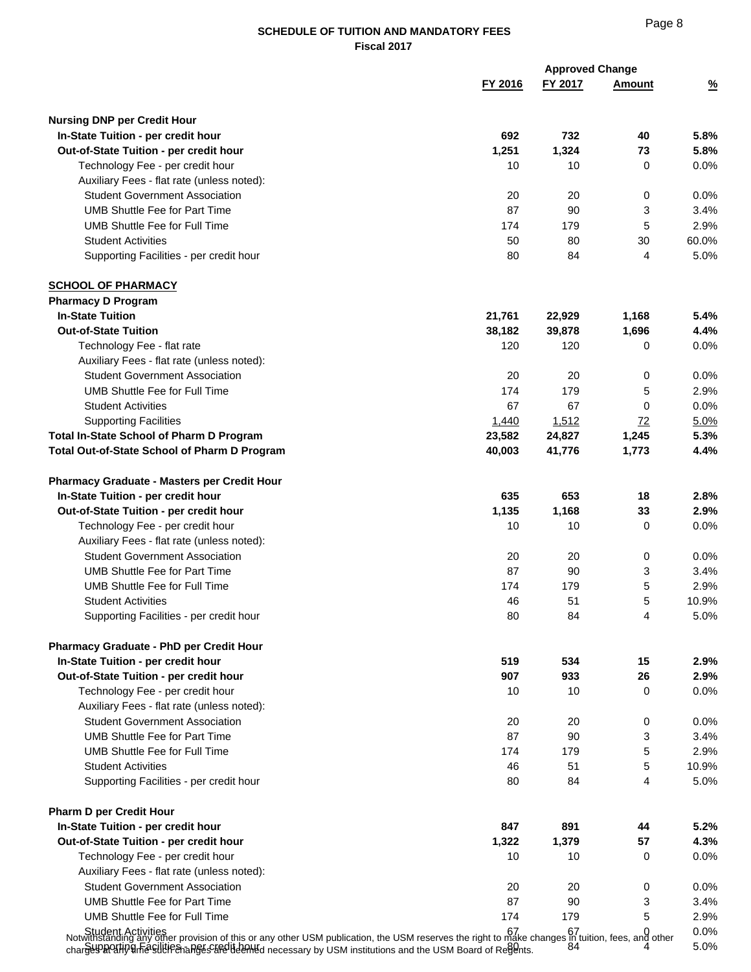|                                                                                                                                                                                                                                                                                                                                     |         | <b>Approved Change</b> |               |               |
|-------------------------------------------------------------------------------------------------------------------------------------------------------------------------------------------------------------------------------------------------------------------------------------------------------------------------------------|---------|------------------------|---------------|---------------|
|                                                                                                                                                                                                                                                                                                                                     | FY 2016 | FY 2017                | <b>Amount</b> | $\frac{9}{6}$ |
| <b>Nursing DNP per Credit Hour</b>                                                                                                                                                                                                                                                                                                  |         |                        |               |               |
| In-State Tuition - per credit hour                                                                                                                                                                                                                                                                                                  | 692     | 732                    | 40            | 5.8%          |
| Out-of-State Tuition - per credit hour                                                                                                                                                                                                                                                                                              | 1,251   | 1,324                  | 73            | 5.8%          |
| Technology Fee - per credit hour                                                                                                                                                                                                                                                                                                    | 10      | 10                     | 0             | 0.0%          |
| Auxiliary Fees - flat rate (unless noted):                                                                                                                                                                                                                                                                                          |         |                        |               |               |
| <b>Student Government Association</b>                                                                                                                                                                                                                                                                                               | 20      | 20                     | 0             | 0.0%          |
| <b>UMB Shuttle Fee for Part Time</b>                                                                                                                                                                                                                                                                                                | 87      | 90                     | 3             | 3.4%          |
| <b>UMB Shuttle Fee for Full Time</b>                                                                                                                                                                                                                                                                                                | 174     | 179                    | 5             | 2.9%          |
| <b>Student Activities</b>                                                                                                                                                                                                                                                                                                           | 50      | 80                     | 30            | 60.0%         |
| Supporting Facilities - per credit hour                                                                                                                                                                                                                                                                                             | 80      | 84                     | 4             | 5.0%          |
| <b>SCHOOL OF PHARMACY</b>                                                                                                                                                                                                                                                                                                           |         |                        |               |               |
| <b>Pharmacy D Program</b>                                                                                                                                                                                                                                                                                                           |         |                        |               |               |
| <b>In-State Tuition</b>                                                                                                                                                                                                                                                                                                             | 21,761  | 22,929                 | 1,168         | 5.4%          |
| <b>Out-of-State Tuition</b>                                                                                                                                                                                                                                                                                                         | 38,182  | 39,878                 | 1,696         | 4.4%          |
| Technology Fee - flat rate                                                                                                                                                                                                                                                                                                          | 120     | 120                    | 0             | 0.0%          |
| Auxiliary Fees - flat rate (unless noted):                                                                                                                                                                                                                                                                                          |         |                        |               |               |
| <b>Student Government Association</b>                                                                                                                                                                                                                                                                                               | 20      | 20                     | 0             | 0.0%          |
| <b>UMB Shuttle Fee for Full Time</b>                                                                                                                                                                                                                                                                                                | 174     | 179                    | 5             | 2.9%          |
| <b>Student Activities</b>                                                                                                                                                                                                                                                                                                           | 67      | 67                     | 0             | 0.0%          |
| <b>Supporting Facilities</b>                                                                                                                                                                                                                                                                                                        | 1,440   | 1,512                  | 72            | 5.0%          |
| <b>Total In-State School of Pharm D Program</b>                                                                                                                                                                                                                                                                                     | 23,582  | 24,827                 | 1,245         | 5.3%          |
| Total Out-of-State School of Pharm D Program                                                                                                                                                                                                                                                                                        | 40,003  | 41,776                 | 1,773         | 4.4%          |
| <b>Pharmacy Graduate - Masters per Credit Hour</b>                                                                                                                                                                                                                                                                                  |         |                        |               |               |
| In-State Tuition - per credit hour                                                                                                                                                                                                                                                                                                  | 635     | 653                    | 18            | 2.8%          |
| Out-of-State Tuition - per credit hour                                                                                                                                                                                                                                                                                              | 1,135   | 1,168                  | 33            | 2.9%          |
| Technology Fee - per credit hour                                                                                                                                                                                                                                                                                                    | 10      | 10                     | 0             | 0.0%          |
| Auxiliary Fees - flat rate (unless noted):                                                                                                                                                                                                                                                                                          |         |                        |               |               |
| <b>Student Government Association</b>                                                                                                                                                                                                                                                                                               | 20      | 20                     | 0             | 0.0%          |
| <b>UMB Shuttle Fee for Part Time</b>                                                                                                                                                                                                                                                                                                | 87      | 90                     | 3             | 3.4%          |
| <b>UMB Shuttle Fee for Full Time</b>                                                                                                                                                                                                                                                                                                | 174     | 179                    | 5             | 2.9%          |
| <b>Student Activities</b>                                                                                                                                                                                                                                                                                                           | 46      | 51                     | 5             | 10.9%         |
| Supporting Facilities - per credit hour                                                                                                                                                                                                                                                                                             | 80      | 84                     | 4             | 5.0%          |
| <b>Pharmacy Graduate - PhD per Credit Hour</b>                                                                                                                                                                                                                                                                                      |         |                        |               |               |
| In-State Tuition - per credit hour                                                                                                                                                                                                                                                                                                  | 519     | 534                    | 15            | 2.9%          |
| Out-of-State Tuition - per credit hour                                                                                                                                                                                                                                                                                              | 907     | 933                    | 26            | 2.9%          |
| Technology Fee - per credit hour                                                                                                                                                                                                                                                                                                    | 10      | 10                     | 0             | 0.0%          |
| Auxiliary Fees - flat rate (unless noted):                                                                                                                                                                                                                                                                                          |         |                        |               |               |
| <b>Student Government Association</b>                                                                                                                                                                                                                                                                                               | 20      | 20                     | 0             | 0.0%          |
| <b>UMB Shuttle Fee for Part Time</b>                                                                                                                                                                                                                                                                                                | 87      | 90                     | 3             | 3.4%          |
| UMB Shuttle Fee for Full Time                                                                                                                                                                                                                                                                                                       | 174     | 179                    | 5             | 2.9%          |
| <b>Student Activities</b>                                                                                                                                                                                                                                                                                                           | 46      | 51                     | 5             | 10.9%         |
| Supporting Facilities - per credit hour                                                                                                                                                                                                                                                                                             | 80      | 84                     | 4             | 5.0%          |
| <b>Pharm D per Credit Hour</b>                                                                                                                                                                                                                                                                                                      |         |                        |               |               |
| In-State Tuition - per credit hour                                                                                                                                                                                                                                                                                                  | 847     | 891                    | 44            | 5.2%          |
| Out-of-State Tuition - per credit hour                                                                                                                                                                                                                                                                                              | 1,322   | 1,379                  | 57            | 4.3%          |
| Technology Fee - per credit hour                                                                                                                                                                                                                                                                                                    | 10      | 10                     | 0             | 0.0%          |
| Auxiliary Fees - flat rate (unless noted):                                                                                                                                                                                                                                                                                          |         |                        |               |               |
| <b>Student Government Association</b>                                                                                                                                                                                                                                                                                               | 20      | 20                     | 0             | 0.0%          |
| <b>UMB Shuttle Fee for Part Time</b>                                                                                                                                                                                                                                                                                                | 87      | 90                     | 3             | 3.4%          |
| <b>UMB Shuttle Fee for Full Time</b>                                                                                                                                                                                                                                                                                                | 174     | 179                    | 5             | 2.9%          |
| Bot dent Activities of this or any other USM publication, the USM reserves the right to make changes n tuition, fees, and other<br>Notwithstanding any other of this or any other USM publication, the USM reserves the right to<br>charges profit of Festival Festival Peters and the Barbara charges of the USM Board of Regents. |         | 84                     |               | 0.0%<br>5.0%  |